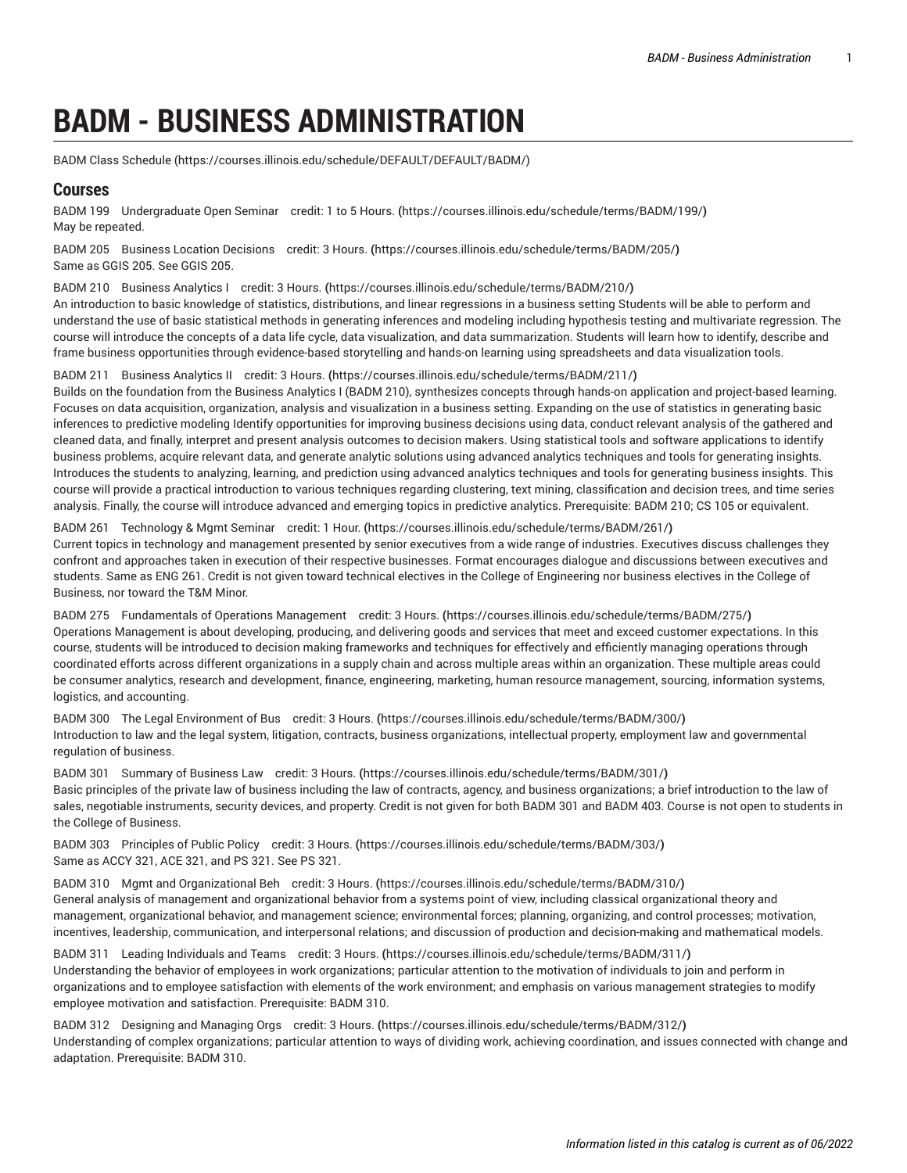# **BADM - BUSINESS ADMINISTRATION**

[BADM Class Schedule \(https://courses.illinois.edu/schedule/DEFAULT/DEFAULT/BADM/](https://courses.illinois.edu/schedule/DEFAULT/DEFAULT/BADM/))

# **Courses**

BADM 199 [Undergraduate](https://courses.illinois.edu/schedule/terms/BADM/199/) Open Seminar credit: 1 to 5 Hours. **(**<https://courses.illinois.edu/schedule/terms/BADM/199/>**)** May be repeated.

BADM 205 Business Location [Decisions](https://courses.illinois.edu/schedule/terms/BADM/205/) credit: 3 Hours. **(**<https://courses.illinois.edu/schedule/terms/BADM/205/>**)** Same as [GGIS 205.](/search/?P=GGIS%20205) See [GGIS 205.](/search/?P=GGIS%20205)

BADM 210 Business [Analytics](https://courses.illinois.edu/schedule/terms/BADM/210/) I credit: 3 Hours. **(**<https://courses.illinois.edu/schedule/terms/BADM/210/>**)**

An introduction to basic knowledge of statistics, distributions, and linear regressions in a business setting Students will be able to perform and understand the use of basic statistical methods in generating inferences and modeling including hypothesis testing and multivariate regression. The course will introduce the concepts of a data life cycle, data visualization, and data summarization. Students will learn how to identify, describe and frame business opportunities through evidence-based storytelling and hands-on learning using spreadsheets and data visualization tools.

BADM 211 Business [Analytics](https://courses.illinois.edu/schedule/terms/BADM/211/) II credit: 3 Hours. **(**<https://courses.illinois.edu/schedule/terms/BADM/211/>**)**

Builds on the foundation from the Business Analytics I ([BADM 210\)](/search/?P=BADM%20210), synthesizes concepts through hands-on application and project-based learning. Focuses on data acquisition, organization, analysis and visualization in a business setting. Expanding on the use of statistics in generating basic inferences to predictive modeling Identify opportunities for improving business decisions using data, conduct relevant analysis of the gathered and cleaned data, and finally, interpret and present analysis outcomes to decision makers. Using statistical tools and software applications to identify business problems, acquire relevant data, and generate analytic solutions using advanced analytics techniques and tools for generating insights. Introduces the students to analyzing, learning, and prediction using advanced analytics techniques and tools for generating business insights. This course will provide a practical introduction to various techniques regarding clustering, text mining, classification and decision trees, and time series analysis. Finally, the course will introduce advanced and emerging topics in predictive analytics. Prerequisite: [BADM 210](/search/?P=BADM%20210); [CS 105](/search/?P=CS%20105) or equivalent.

BADM 261 [Technology](https://courses.illinois.edu/schedule/terms/BADM/261/) & Mgmt Seminar credit: 1 Hour. **(**<https://courses.illinois.edu/schedule/terms/BADM/261/>**)** Current topics in technology and management presented by senior executives from a wide range of industries. Executives discuss challenges they confront and approaches taken in execution of their respective businesses. Format encourages dialogue and discussions between executives and students. Same as [ENG 261](/search/?P=ENG%20261). Credit is not given toward technical electives in the College of Engineering nor business electives in the College of Business, nor toward the T&M Minor.

BADM 275 [Fundamentals](https://courses.illinois.edu/schedule/terms/BADM/275/) of Operations Management credit: 3 Hours. **(**<https://courses.illinois.edu/schedule/terms/BADM/275/>**)** Operations Management is about developing, producing, and delivering goods and services that meet and exceed customer expectations. In this course, students will be introduced to decision making frameworks and techniques for effectively and efficiently managing operations through coordinated efforts across different organizations in a supply chain and across multiple areas within an organization. These multiple areas could be consumer analytics, research and development, finance, engineering, marketing, human resource management, sourcing, information systems, logistics, and accounting.

BADM 300 The Legal [Environment](https://courses.illinois.edu/schedule/terms/BADM/300/) of Bus credit: 3 Hours. **(**<https://courses.illinois.edu/schedule/terms/BADM/300/>**)** Introduction to law and the legal system, litigation, contracts, business organizations, intellectual property, employment law and governmental regulation of business.

BADM 301 [Summary](https://courses.illinois.edu/schedule/terms/BADM/301/) of Business Law credit: 3 Hours. **(**<https://courses.illinois.edu/schedule/terms/BADM/301/>**)** Basic principles of the private law of business including the law of contracts, agency, and business organizations; a brief introduction to the law of sales, negotiable instruments, security devices, and property. Credit is not given for both [BADM 301](/search/?P=BADM%20301) and [BADM 403](/search/?P=BADM%20403). Course is not open to students in the College of Business.

BADM 303 [Principles](https://courses.illinois.edu/schedule/terms/BADM/303/) of Public Policy credit: 3 Hours. **(**<https://courses.illinois.edu/schedule/terms/BADM/303/>**)** Same as [ACCY 321,](/search/?P=ACCY%20321) [ACE 321,](/search/?P=ACE%20321) and [PS 321](/search/?P=PS%20321). See [PS 321](/search/?P=PS%20321).

BADM 310 Mgmt and [Organizational](https://courses.illinois.edu/schedule/terms/BADM/310/) Beh credit: 3 Hours. **(**<https://courses.illinois.edu/schedule/terms/BADM/310/>**)** General analysis of management and organizational behavior from a systems point of view, including classical organizational theory and management, organizational behavior, and management science; environmental forces; planning, organizing, and control processes; motivation, incentives, leadership, communication, and interpersonal relations; and discussion of production and decision-making and mathematical models.

BADM 311 Leading [Individuals](https://courses.illinois.edu/schedule/terms/BADM/311/) and Teams credit: 3 Hours. **(**<https://courses.illinois.edu/schedule/terms/BADM/311/>**)** Understanding the behavior of employees in work organizations; particular attention to the motivation of individuals to join and perform in organizations and to employee satisfaction with elements of the work environment; and emphasis on various management strategies to modify employee motivation and satisfaction. Prerequisite: [BADM 310.](/search/?P=BADM%20310)

BADM 312 Designing and [Managing](https://courses.illinois.edu/schedule/terms/BADM/312/) Orgs credit: 3 Hours. **(**<https://courses.illinois.edu/schedule/terms/BADM/312/>**)** Understanding of complex organizations; particular attention to ways of dividing work, achieving coordination, and issues connected with change and adaptation. Prerequisite: [BADM 310](/search/?P=BADM%20310).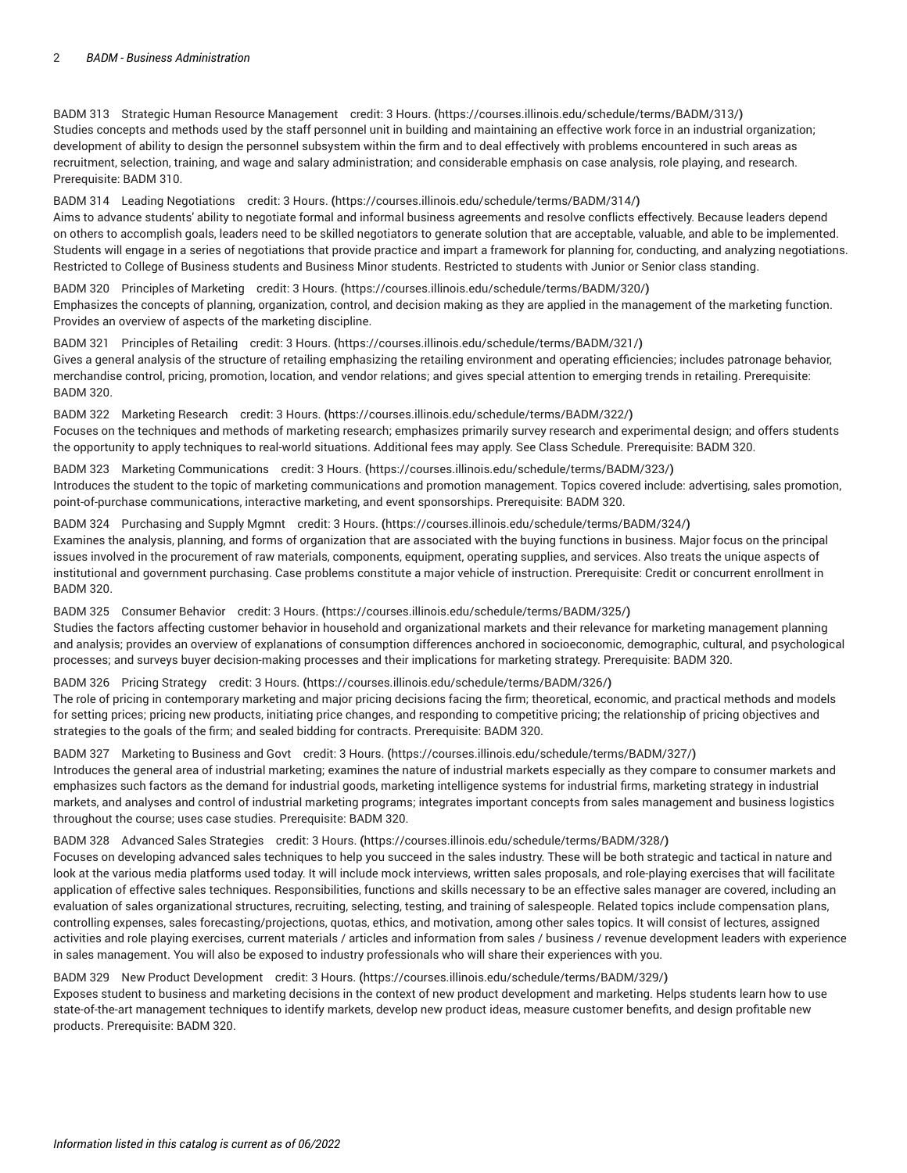BADM 313 Strategic Human Resource [Management](https://courses.illinois.edu/schedule/terms/BADM/313/) credit: 3 Hours. **(**<https://courses.illinois.edu/schedule/terms/BADM/313/>**)** Studies concepts and methods used by the staff personnel unit in building and maintaining an effective work force in an industrial organization; development of ability to design the personnel subsystem within the firm and to deal effectively with problems encountered in such areas as recruitment, selection, training, and wage and salary administration; and considerable emphasis on case analysis, role playing, and research. Prerequisite: [BADM 310](/search/?P=BADM%20310).

BADM 314 Leading [Negotiations](https://courses.illinois.edu/schedule/terms/BADM/314/) credit: 3 Hours. **(**<https://courses.illinois.edu/schedule/terms/BADM/314/>**)** Aims to advance students' ability to negotiate formal and informal business agreements and resolve conflicts effectively. Because leaders depend on others to accomplish goals, leaders need to be skilled negotiators to generate solution that are acceptable, valuable, and able to be implemented. Students will engage in a series of negotiations that provide practice and impart a framework for planning for, conducting, and analyzing negotiations. Restricted to College of Business students and Business Minor students. Restricted to students with Junior or Senior class standing.

BADM 320 Principles of [Marketing](https://courses.illinois.edu/schedule/terms/BADM/320/) credit: 3 Hours. **(**<https://courses.illinois.edu/schedule/terms/BADM/320/>**)** Emphasizes the concepts of planning, organization, control, and decision making as they are applied in the management of the marketing function. Provides an overview of aspects of the marketing discipline.

BADM 321 [Principles](https://courses.illinois.edu/schedule/terms/BADM/321/) of Retailing credit: 3 Hours. **(**<https://courses.illinois.edu/schedule/terms/BADM/321/>**)** Gives a general analysis of the structure of retailing emphasizing the retailing environment and operating efficiencies; includes patronage behavior, merchandise control, pricing, promotion, location, and vendor relations; and gives special attention to emerging trends in retailing. Prerequisite: [BADM 320](/search/?P=BADM%20320).

BADM 322 [Marketing](https://courses.illinois.edu/schedule/terms/BADM/322/) Research credit: 3 Hours. **(**<https://courses.illinois.edu/schedule/terms/BADM/322/>**)** Focuses on the techniques and methods of marketing research; emphasizes primarily survey research and experimental design; and offers students the opportunity to apply techniques to real-world situations. Additional fees may apply. See Class Schedule. Prerequisite: [BADM 320](/search/?P=BADM%20320).

BADM 323 Marketing [Communications](https://courses.illinois.edu/schedule/terms/BADM/323/) credit: 3 Hours. **(**<https://courses.illinois.edu/schedule/terms/BADM/323/>**)** Introduces the student to the topic of marketing communications and promotion management. Topics covered include: advertising, sales promotion, point-of-purchase communications, interactive marketing, and event sponsorships. Prerequisite: [BADM 320](/search/?P=BADM%20320).

BADM 324 [Purchasing](https://courses.illinois.edu/schedule/terms/BADM/324/) and Supply Mgmnt credit: 3 Hours. **(**<https://courses.illinois.edu/schedule/terms/BADM/324/>**)** Examines the analysis, planning, and forms of organization that are associated with the buying functions in business. Major focus on the principal issues involved in the procurement of raw materials, components, equipment, operating supplies, and services. Also treats the unique aspects of institutional and government purchasing. Case problems constitute a major vehicle of instruction. Prerequisite: Credit or concurrent enrollment in [BADM 320](/search/?P=BADM%20320).

BADM 325 [Consumer](https://courses.illinois.edu/schedule/terms/BADM/325/) Behavior credit: 3 Hours. **(**<https://courses.illinois.edu/schedule/terms/BADM/325/>**)** Studies the factors affecting customer behavior in household and organizational markets and their relevance for marketing management planning and analysis; provides an overview of explanations of consumption differences anchored in socioeconomic, demographic, cultural, and psychological processes; and surveys buyer decision-making processes and their implications for marketing strategy. Prerequisite: [BADM 320.](/search/?P=BADM%20320)

BADM 326 Pricing [Strategy](https://courses.illinois.edu/schedule/terms/BADM/326/) credit: 3 Hours. **(**<https://courses.illinois.edu/schedule/terms/BADM/326/>**)**

The role of pricing in contemporary marketing and major pricing decisions facing the firm; theoretical, economic, and practical methods and models for setting prices; pricing new products, initiating price changes, and responding to competitive pricing; the relationship of pricing objectives and strategies to the goals of the firm; and sealed bidding for contracts. Prerequisite: [BADM 320.](/search/?P=BADM%20320)

BADM 327 [Marketing](https://courses.illinois.edu/schedule/terms/BADM/327/) to Business and Govt credit: 3 Hours. **(**<https://courses.illinois.edu/schedule/terms/BADM/327/>**)** Introduces the general area of industrial marketing; examines the nature of industrial markets especially as they compare to consumer markets and emphasizes such factors as the demand for industrial goods, marketing intelligence systems for industrial firms, marketing strategy in industrial markets, and analyses and control of industrial marketing programs; integrates important concepts from sales management and business logistics

throughout the course; uses case studies. Prerequisite: [BADM 320.](/search/?P=BADM%20320)

BADM 328 Advanced Sales [Strategies](https://courses.illinois.edu/schedule/terms/BADM/328/) credit: 3 Hours. **(**<https://courses.illinois.edu/schedule/terms/BADM/328/>**)** Focuses on developing advanced sales techniques to help you succeed in the sales industry. These will be both strategic and tactical in nature and look at the various media platforms used today. It will include mock interviews, written sales proposals, and role-playing exercises that will facilitate application of effective sales techniques. Responsibilities, functions and skills necessary to be an effective sales manager are covered, including an evaluation of sales organizational structures, recruiting, selecting, testing, and training of salespeople. Related topics include compensation plans, controlling expenses, sales forecasting/projections, quotas, ethics, and motivation, among other sales topics. It will consist of lectures, assigned activities and role playing exercises, current materials / articles and information from sales / business / revenue development leaders with experience in sales management. You will also be exposed to industry professionals who will share their experiences with you.

BADM 329 New Product [Development](https://courses.illinois.edu/schedule/terms/BADM/329/) credit: 3 Hours. **(**<https://courses.illinois.edu/schedule/terms/BADM/329/>**)** Exposes student to business and marketing decisions in the context of new product development and marketing. Helps students learn how to use state-of-the-art management techniques to identify markets, develop new product ideas, measure customer benefits, and design profitable new products. Prerequisite: [BADM 320](/search/?P=BADM%20320).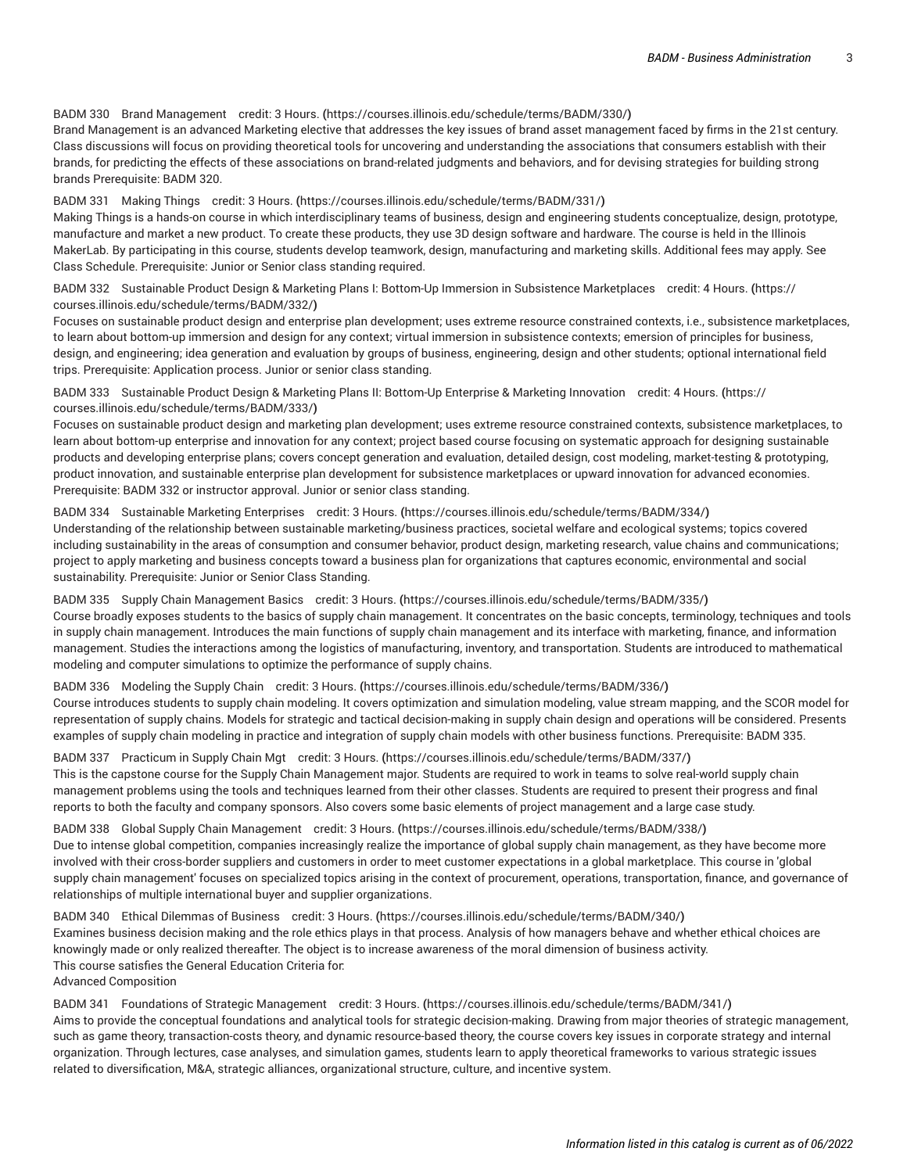### BADM 330 Brand [Management](https://courses.illinois.edu/schedule/terms/BADM/330/) credit: 3 Hours. **(**<https://courses.illinois.edu/schedule/terms/BADM/330/>**)**

Brand Management is an advanced Marketing elective that addresses the key issues of brand asset management faced by firms in the 21st century. Class discussions will focus on providing theoretical tools for uncovering and understanding the associations that consumers establish with their brands, for predicting the effects of these associations on brand-related judgments and behaviors, and for devising strategies for building strong brands Prerequisite: [BADM 320](/search/?P=BADM%20320).

#### BADM 331 [Making](https://courses.illinois.edu/schedule/terms/BADM/331/) Things credit: 3 Hours. **(**<https://courses.illinois.edu/schedule/terms/BADM/331/>**)**

Making Things is a hands-on course in which interdisciplinary teams of business, design and engineering students conceptualize, design, prototype, manufacture and market a new product. To create these products, they use 3D design software and hardware. The course is held in the Illinois MakerLab. By participating in this course, students develop teamwork, design, manufacturing and marketing skills. Additional fees may apply. See Class Schedule. Prerequisite: Junior or Senior class standing required.

BADM 332 Sustainable Product Design & Marketing Plans I: Bottom-Up Immersion in Subsistence [Marketplaces](https://courses.illinois.edu/schedule/terms/BADM/332/) credit: 4 Hours. **(**[https://](https://courses.illinois.edu/schedule/terms/BADM/332/) [courses.illinois.edu/schedule/terms/BADM/332/](https://courses.illinois.edu/schedule/terms/BADM/332/)**)**

Focuses on sustainable product design and enterprise plan development; uses extreme resource constrained contexts, i.e., subsistence marketplaces, to learn about bottom-up immersion and design for any context; virtual immersion in subsistence contexts; emersion of principles for business, design, and engineering; idea generation and evaluation by groups of business, engineering, design and other students; optional international field trips. Prerequisite: Application process. Junior or senior class standing.

# BADM 333 [Sustainable](https://courses.illinois.edu/schedule/terms/BADM/333/) Product Design & Marketing Plans II: Bottom-Up Enterprise & Marketing Innovation credit: 4 Hours. **(**[https://](https://courses.illinois.edu/schedule/terms/BADM/333/) [courses.illinois.edu/schedule/terms/BADM/333/](https://courses.illinois.edu/schedule/terms/BADM/333/)**)**

Focuses on sustainable product design and marketing plan development; uses extreme resource constrained contexts, subsistence marketplaces, to learn about bottom-up enterprise and innovation for any context; project based course focusing on systematic approach for designing sustainable products and developing enterprise plans; covers concept generation and evaluation, detailed design, cost modeling, market-testing & prototyping, product innovation, and sustainable enterprise plan development for subsistence marketplaces or upward innovation for advanced economies. Prerequisite: [BADM 332](/search/?P=BADM%20332) or instructor approval. Junior or senior class standing.

# BADM 334 [Sustainable](https://courses.illinois.edu/schedule/terms/BADM/334/) Marketing Enterprises credit: 3 Hours. **(**<https://courses.illinois.edu/schedule/terms/BADM/334/>**)** Understanding of the relationship between sustainable marketing/business practices, societal welfare and ecological systems; topics covered including sustainability in the areas of consumption and consumer behavior, product design, marketing research, value chains and communications; project to apply marketing and business concepts toward a business plan for organizations that captures economic, environmental and social

sustainability. Prerequisite: Junior or Senior Class Standing.

# BADM 335 Supply Chain [Management](https://courses.illinois.edu/schedule/terms/BADM/335/) Basics credit: 3 Hours. **(**<https://courses.illinois.edu/schedule/terms/BADM/335/>**)** Course broadly exposes students to the basics of supply chain management. It concentrates on the basic concepts, terminology, techniques and tools in supply chain management. Introduces the main functions of supply chain management and its interface with marketing, finance, and information management. Studies the interactions among the logistics of manufacturing, inventory, and transportation. Students are introduced to mathematical modeling and computer simulations to optimize the performance of supply chains.

# BADM 336 [Modeling](https://courses.illinois.edu/schedule/terms/BADM/336/) the Supply Chain credit: 3 Hours. **(**<https://courses.illinois.edu/schedule/terms/BADM/336/>**)** Course introduces students to supply chain modeling. It covers optimization and simulation modeling, value stream mapping, and the SCOR model for representation of supply chains. Models for strategic and tactical decision-making in supply chain design and operations will be considered. Presents examples of supply chain modeling in practice and integration of supply chain models with other business functions. Prerequisite: [BADM 335](/search/?P=BADM%20335).

BADM 337 [Practicum](https://courses.illinois.edu/schedule/terms/BADM/337/) in Supply Chain Mgt credit: 3 Hours. **(**<https://courses.illinois.edu/schedule/terms/BADM/337/>**)** This is the capstone course for the Supply Chain Management major. Students are required to work in teams to solve real-world supply chain management problems using the tools and techniques learned from their other classes. Students are required to present their progress and final reports to both the faculty and company sponsors. Also covers some basic elements of project management and a large case study.

BADM 338 Global Supply Chain [Management](https://courses.illinois.edu/schedule/terms/BADM/338/) credit: 3 Hours. **(**<https://courses.illinois.edu/schedule/terms/BADM/338/>**)** Due to intense global competition, companies increasingly realize the importance of global supply chain management, as they have become more involved with their cross-border suppliers and customers in order to meet customer expectations in a global marketplace. This course in 'global supply chain management' focuses on specialized topics arising in the context of procurement, operations, transportation, finance, and governance of relationships of multiple international buyer and supplier organizations.

BADM 340 Ethical [Dilemmas](https://courses.illinois.edu/schedule/terms/BADM/340/) of Business credit: 3 Hours. **(**<https://courses.illinois.edu/schedule/terms/BADM/340/>**)** Examines business decision making and the role ethics plays in that process. Analysis of how managers behave and whether ethical choices are knowingly made or only realized thereafter. The object is to increase awareness of the moral dimension of business activity. This course satisfies the General Education Criteria for: Advanced Composition

BADM 341 Foundations of Strategic [Management](https://courses.illinois.edu/schedule/terms/BADM/341/) credit: 3 Hours. **(**<https://courses.illinois.edu/schedule/terms/BADM/341/>**)** Aims to provide the conceptual foundations and analytical tools for strategic decision-making. Drawing from major theories of strategic management, such as game theory, transaction-costs theory, and dynamic resource-based theory, the course covers key issues in corporate strategy and internal organization. Through lectures, case analyses, and simulation games, students learn to apply theoretical frameworks to various strategic issues related to diversification, M&A, strategic alliances, organizational structure, culture, and incentive system.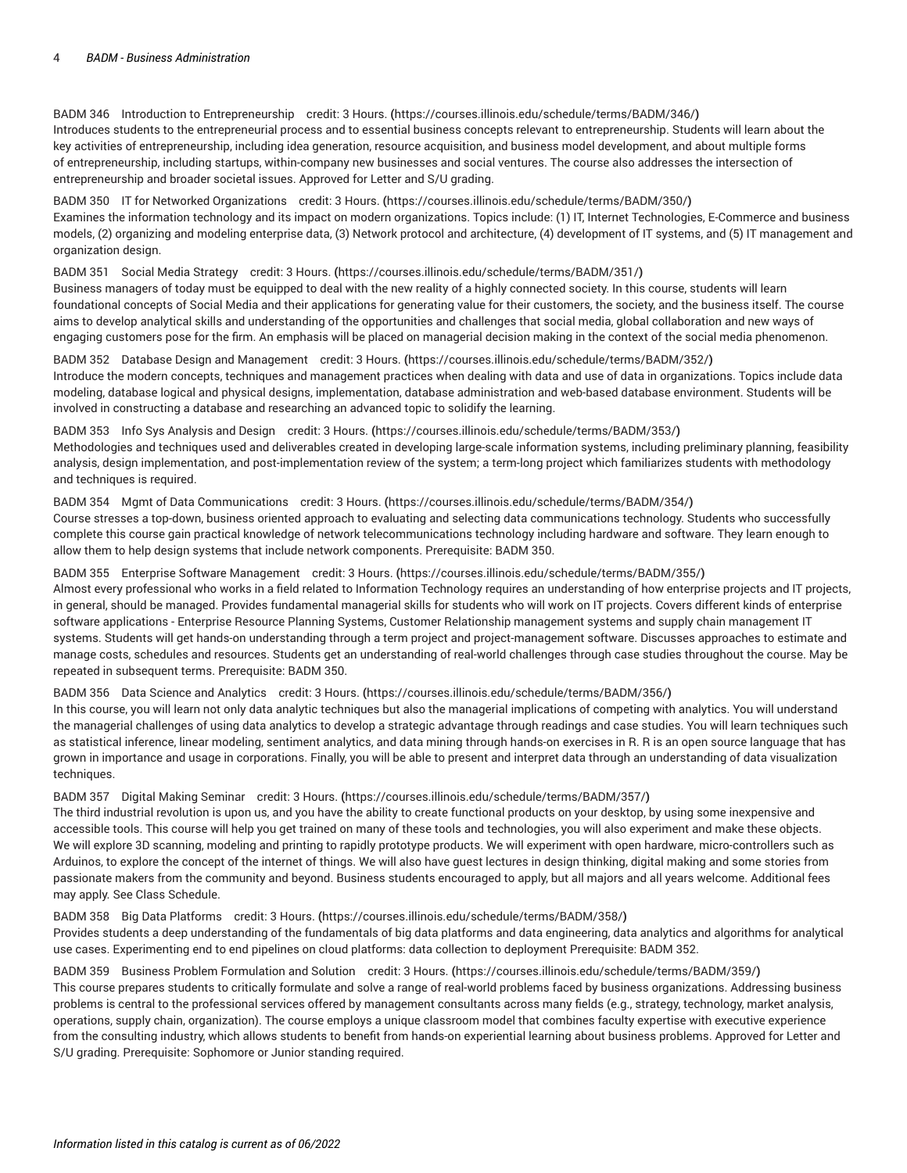BADM 346 Introduction to [Entrepreneurship](https://courses.illinois.edu/schedule/terms/BADM/346/) credit: 3 Hours. **(**<https://courses.illinois.edu/schedule/terms/BADM/346/>**)** Introduces students to the entrepreneurial process and to essential business concepts relevant to entrepreneurship. Students will learn about the key activities of entrepreneurship, including idea generation, resource acquisition, and business model development, and about multiple forms of entrepreneurship, including startups, within-company new businesses and social ventures. The course also addresses the intersection of entrepreneurship and broader societal issues. Approved for Letter and S/U grading.

BADM 350 IT for Networked [Organizations](https://courses.illinois.edu/schedule/terms/BADM/350/) credit: 3 Hours. **(**<https://courses.illinois.edu/schedule/terms/BADM/350/>**)** Examines the information technology and its impact on modern organizations. Topics include: (1) IT, Internet Technologies, E-Commerce and business models, (2) organizing and modeling enterprise data, (3) Network protocol and architecture, (4) development of IT systems, and (5) IT management and organization design.

#### BADM 351 Social Media [Strategy](https://courses.illinois.edu/schedule/terms/BADM/351/) credit: 3 Hours. **(**<https://courses.illinois.edu/schedule/terms/BADM/351/>**)**

Business managers of today must be equipped to deal with the new reality of a highly connected society. In this course, students will learn foundational concepts of Social Media and their applications for generating value for their customers, the society, and the business itself. The course aims to develop analytical skills and understanding of the opportunities and challenges that social media, global collaboration and new ways of engaging customers pose for the firm. An emphasis will be placed on managerial decision making in the context of the social media phenomenon.

BADM 352 Database Design and [Management](https://courses.illinois.edu/schedule/terms/BADM/352/) credit: 3 Hours. **(**<https://courses.illinois.edu/schedule/terms/BADM/352/>**)** Introduce the modern concepts, techniques and management practices when dealing with data and use of data in organizations. Topics include data modeling, database logical and physical designs, implementation, database administration and web-based database environment. Students will be involved in constructing a database and researching an advanced topic to solidify the learning.

BADM 353 Info Sys [Analysis](https://courses.illinois.edu/schedule/terms/BADM/353/) and Design credit: 3 Hours. **(**<https://courses.illinois.edu/schedule/terms/BADM/353/>**)** Methodologies and techniques used and deliverables created in developing large-scale information systems, including preliminary planning, feasibility analysis, design implementation, and post-implementation review of the system; a term-long project which familiarizes students with methodology and techniques is required.

BADM 354 Mgmt of Data [Communications](https://courses.illinois.edu/schedule/terms/BADM/354/) credit: 3 Hours. **(**<https://courses.illinois.edu/schedule/terms/BADM/354/>**)** Course stresses a top-down, business oriented approach to evaluating and selecting data communications technology. Students who successfully complete this course gain practical knowledge of network telecommunications technology including hardware and software. They learn enough to allow them to help design systems that include network components. Prerequisite: [BADM 350.](/search/?P=BADM%20350)

### BADM 355 Enterprise Software [Management](https://courses.illinois.edu/schedule/terms/BADM/355/) credit: 3 Hours. **(**<https://courses.illinois.edu/schedule/terms/BADM/355/>**)**

Almost every professional who works in a field related to Information Technology requires an understanding of how enterprise projects and IT projects, in general, should be managed. Provides fundamental managerial skills for students who will work on IT projects. Covers different kinds of enterprise software applications - Enterprise Resource Planning Systems, Customer Relationship management systems and supply chain management IT systems. Students will get hands-on understanding through a term project and project-management software. Discusses approaches to estimate and manage costs, schedules and resources. Students get an understanding of real-world challenges through case studies throughout the course. May be repeated in subsequent terms. Prerequisite: [BADM 350.](/search/?P=BADM%20350)

# BADM 356 Data Science and [Analytics](https://courses.illinois.edu/schedule/terms/BADM/356/) credit: 3 Hours. **(**<https://courses.illinois.edu/schedule/terms/BADM/356/>**)**

In this course, you will learn not only data analytic techniques but also the managerial implications of competing with analytics. You will understand the managerial challenges of using data analytics to develop a strategic advantage through readings and case studies. You will learn techniques such as statistical inference, linear modeling, sentiment analytics, and data mining through hands-on exercises in R. R is an open source language that has grown in importance and usage in corporations. Finally, you will be able to present and interpret data through an understanding of data visualization techniques.

#### BADM 357 Digital Making [Seminar](https://courses.illinois.edu/schedule/terms/BADM/357/) credit: 3 Hours. **(**<https://courses.illinois.edu/schedule/terms/BADM/357/>**)**

The third industrial revolution is upon us, and you have the ability to create functional products on your desktop, by using some inexpensive and accessible tools. This course will help you get trained on many of these tools and technologies, you will also experiment and make these objects. We will explore 3D scanning, modeling and printing to rapidly prototype products. We will experiment with open hardware, micro-controllers such as Arduinos, to explore the concept of the internet of things. We will also have guest lectures in design thinking, digital making and some stories from passionate makers from the community and beyond. Business students encouraged to apply, but all majors and all years welcome. Additional fees may apply. See Class Schedule.

### BADM 358 Big Data [Platforms](https://courses.illinois.edu/schedule/terms/BADM/358/) credit: 3 Hours. **(**<https://courses.illinois.edu/schedule/terms/BADM/358/>**)**

Provides students a deep understanding of the fundamentals of big data platforms and data engineering, data analytics and algorithms for analytical use cases. Experimenting end to end pipelines on cloud platforms: data collection to deployment Prerequisite: [BADM 352](/search/?P=BADM%20352).

# BADM 359 Business Problem [Formulation](https://courses.illinois.edu/schedule/terms/BADM/359/) and Solution credit: 3 Hours. **(**<https://courses.illinois.edu/schedule/terms/BADM/359/>**)**

This course prepares students to critically formulate and solve a range of real-world problems faced by business organizations. Addressing business problems is central to the professional services offered by management consultants across many fields (e.g., strategy, technology, market analysis, operations, supply chain, organization). The course employs a unique classroom model that combines faculty expertise with executive experience from the consulting industry, which allows students to benefit from hands-on experiential learning about business problems. Approved for Letter and S/U grading. Prerequisite: Sophomore or Junior standing required.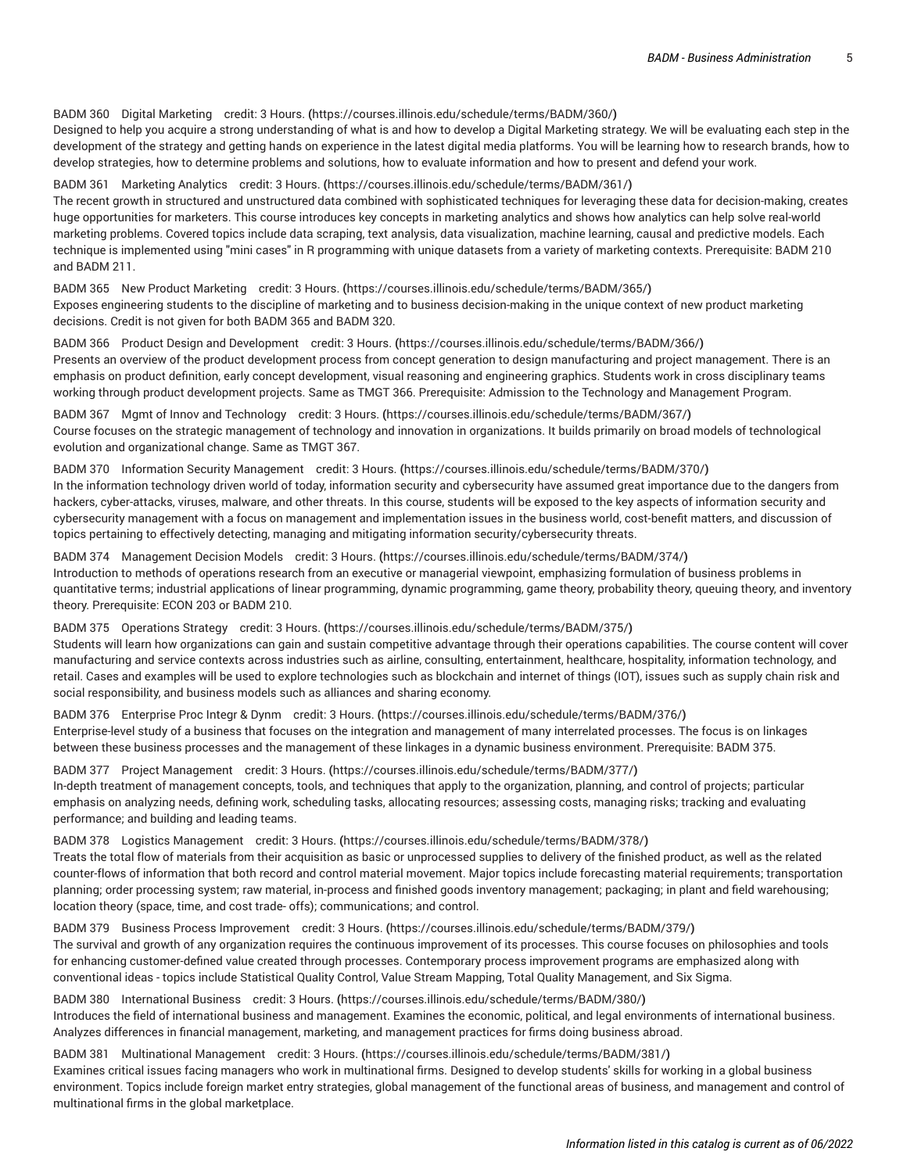# BADM 360 Digital [Marketing](https://courses.illinois.edu/schedule/terms/BADM/360/) credit: 3 Hours. **(**<https://courses.illinois.edu/schedule/terms/BADM/360/>**)**

Designed to help you acquire a strong understanding of what is and how to develop a Digital Marketing strategy. We will be evaluating each step in the development of the strategy and getting hands on experience in the latest digital media platforms. You will be learning how to research brands, how to develop strategies, how to determine problems and solutions, how to evaluate information and how to present and defend your work.

## BADM 361 [Marketing](https://courses.illinois.edu/schedule/terms/BADM/361/) Analytics credit: 3 Hours. **(**<https://courses.illinois.edu/schedule/terms/BADM/361/>**)**

The recent growth in structured and unstructured data combined with sophisticated techniques for leveraging these data for decision-making, creates huge opportunities for marketers. This course introduces key concepts in marketing analytics and shows how analytics can help solve real-world marketing problems. Covered topics include data scraping, text analysis, data visualization, machine learning, causal and predictive models. Each technique is implemented using "mini cases" in R programming with unique datasets from a variety of marketing contexts. Prerequisite: [BADM 210](/search/?P=BADM%20210) and [BADM 211.](/search/?P=BADM%20211)

BADM 365 New Product [Marketing](https://courses.illinois.edu/schedule/terms/BADM/365/) credit: 3 Hours. **(**<https://courses.illinois.edu/schedule/terms/BADM/365/>**)** Exposes engineering students to the discipline of marketing and to business decision-making in the unique context of new product marketing decisions. Credit is not given for both [BADM 365](/search/?P=BADM%20365) and [BADM 320](/search/?P=BADM%20320).

BADM 366 Product Design and [Development](https://courses.illinois.edu/schedule/terms/BADM/366/) credit: 3 Hours. **(**<https://courses.illinois.edu/schedule/terms/BADM/366/>**)** Presents an overview of the product development process from concept generation to design manufacturing and project management. There is an emphasis on product definition, early concept development, visual reasoning and engineering graphics. Students work in cross disciplinary teams working through product development projects. Same as [TMGT 366.](/search/?P=TMGT%20366) Prerequisite: Admission to the Technology and Management Program.

BADM 367 Mgmt of Innov and [Technology](https://courses.illinois.edu/schedule/terms/BADM/367/) credit: 3 Hours. **(**<https://courses.illinois.edu/schedule/terms/BADM/367/>**)** Course focuses on the strategic management of technology and innovation in organizations. It builds primarily on broad models of technological evolution and organizational change. Same as [TMGT 367.](/search/?P=TMGT%20367)

BADM 370 Information Security [Management](https://courses.illinois.edu/schedule/terms/BADM/370/) credit: 3 Hours. **(**<https://courses.illinois.edu/schedule/terms/BADM/370/>**)** In the information technology driven world of today, information security and cybersecurity have assumed great importance due to the dangers from hackers, cyber-attacks, viruses, malware, and other threats. In this course, students will be exposed to the key aspects of information security and cybersecurity management with a focus on management and implementation issues in the business world, cost-benefit matters, and discussion of topics pertaining to effectively detecting, managing and mitigating information security/cybersecurity threats.

BADM 374 [Management](https://courses.illinois.edu/schedule/terms/BADM/374/) Decision Models credit: 3 Hours. **(**<https://courses.illinois.edu/schedule/terms/BADM/374/>**)** Introduction to methods of operations research from an executive or managerial viewpoint, emphasizing formulation of business problems in quantitative terms; industrial applications of linear programming, dynamic programming, game theory, probability theory, queuing theory, and inventory theory. Prerequisite: [ECON 203](/search/?P=ECON%20203) or [BADM 210](/search/?P=BADM%20210).

BADM 375 [Operations](https://courses.illinois.edu/schedule/terms/BADM/375/) Strategy credit: 3 Hours. **(**<https://courses.illinois.edu/schedule/terms/BADM/375/>**)** Students will learn how organizations can gain and sustain competitive advantage through their operations capabilities. The course content will cover manufacturing and service contexts across industries such as airline, consulting, entertainment, healthcare, hospitality, information technology, and retail. Cases and examples will be used to explore technologies such as blockchain and internet of things (IOT), issues such as supply chain risk and social responsibility, and business models such as alliances and sharing economy.

BADM 376 [Enterprise](https://courses.illinois.edu/schedule/terms/BADM/376/) Proc Integr & Dynm credit: 3 Hours. **(**<https://courses.illinois.edu/schedule/terms/BADM/376/>**)** Enterprise-level study of a business that focuses on the integration and management of many interrelated processes. The focus is on linkages between these business processes and the management of these linkages in a dynamic business environment. Prerequisite: [BADM 375.](/search/?P=BADM%20375)

BADM 377 Project [Management](https://courses.illinois.edu/schedule/terms/BADM/377/) credit: 3 Hours. **(**<https://courses.illinois.edu/schedule/terms/BADM/377/>**)** In-depth treatment of management concepts, tools, and techniques that apply to the organization, planning, and control of projects; particular emphasis on analyzing needs, defining work, scheduling tasks, allocating resources; assessing costs, managing risks; tracking and evaluating performance; and building and leading teams.

BADM 378 Logistics [Management](https://courses.illinois.edu/schedule/terms/BADM/378/) credit: 3 Hours. **(**<https://courses.illinois.edu/schedule/terms/BADM/378/>**)**

Treats the total flow of materials from their acquisition as basic or unprocessed supplies to delivery of the finished product, as well as the related counter-flows of information that both record and control material movement. Major topics include forecasting material requirements; transportation planning; order processing system; raw material, in-process and finished goods inventory management; packaging; in plant and field warehousing; location theory (space, time, and cost trade- offs); communications; and control.

BADM 379 Business Process [Improvement](https://courses.illinois.edu/schedule/terms/BADM/379/) credit: 3 Hours. **(**<https://courses.illinois.edu/schedule/terms/BADM/379/>**)** The survival and growth of any organization requires the continuous improvement of its processes. This course focuses on philosophies and tools for enhancing customer-defined value created through processes. Contemporary process improvement programs are emphasized along with conventional ideas - topics include Statistical Quality Control, Value Stream Mapping, Total Quality Management, and Six Sigma.

BADM 380 [International](https://courses.illinois.edu/schedule/terms/BADM/380/) Business credit: 3 Hours. **(**<https://courses.illinois.edu/schedule/terms/BADM/380/>**)** Introduces the field of international business and management. Examines the economic, political, and legal environments of international business. Analyzes differences in financial management, marketing, and management practices for firms doing business abroad.

BADM 381 Multinational [Management](https://courses.illinois.edu/schedule/terms/BADM/381/) credit: 3 Hours. **(**<https://courses.illinois.edu/schedule/terms/BADM/381/>**)** Examines critical issues facing managers who work in multinational firms. Designed to develop students' skills for working in a global business environment. Topics include foreign market entry strategies, global management of the functional areas of business, and management and control of multinational firms in the global marketplace.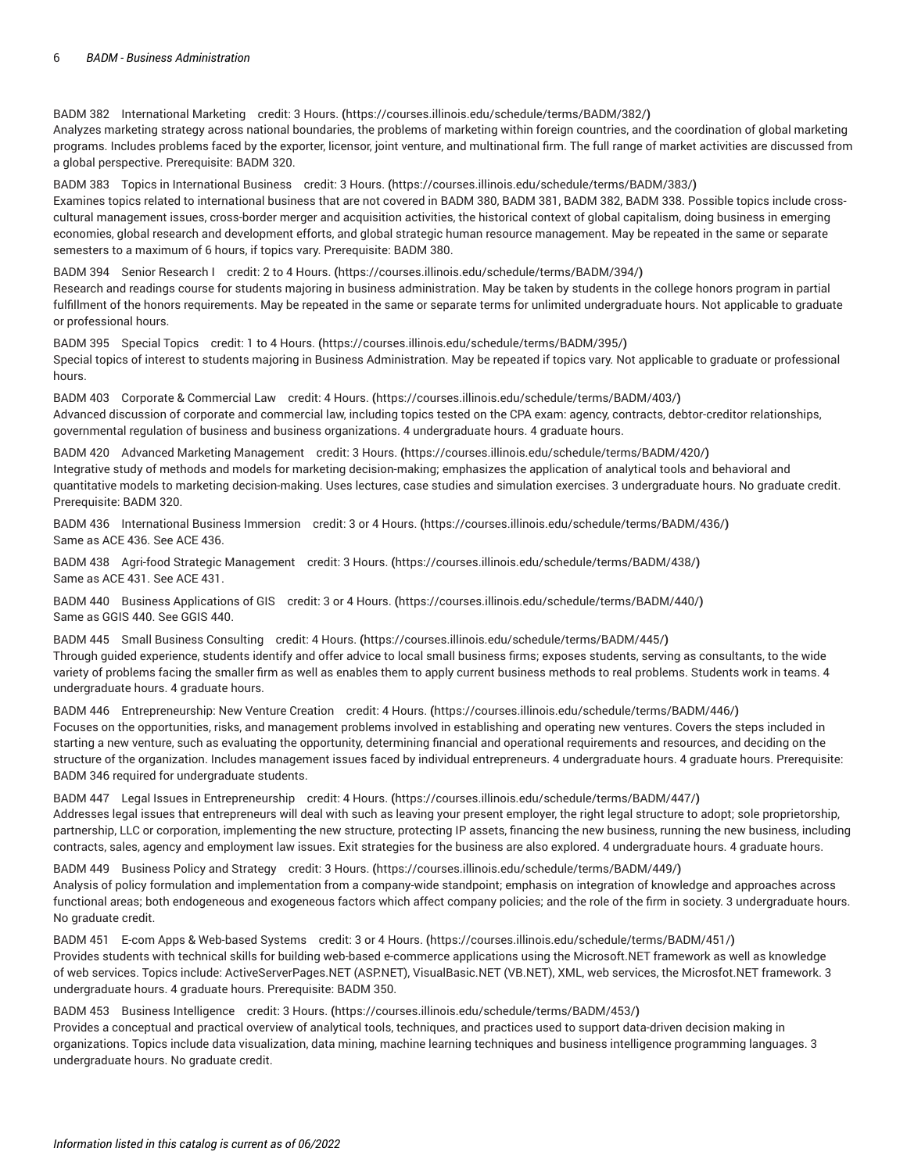BADM 382 [International](https://courses.illinois.edu/schedule/terms/BADM/382/) Marketing credit: 3 Hours. **(**<https://courses.illinois.edu/schedule/terms/BADM/382/>**)** Analyzes marketing strategy across national boundaries, the problems of marketing within foreign countries, and the coordination of global marketing programs. Includes problems faced by the exporter, licensor, joint venture, and multinational firm. The full range of market activities are discussed from a global perspective. Prerequisite: [BADM 320](/search/?P=BADM%20320).

BADM 383 Topics in [International](https://courses.illinois.edu/schedule/terms/BADM/383/) Business credit: 3 Hours. **(**<https://courses.illinois.edu/schedule/terms/BADM/383/>**)** Examines topics related to international business that are not covered in [BADM 380,](/search/?P=BADM%20380) [BADM 381](/search/?P=BADM%20381), [BADM 382,](/search/?P=BADM%20382) [BADM 338](/search/?P=BADM%20338). Possible topics include crosscultural management issues, cross-border merger and acquisition activities, the historical context of global capitalism, doing business in emerging economies, global research and development efforts, and global strategic human resource management. May be repeated in the same or separate semesters to a maximum of 6 hours, if topics vary. Prerequisite: [BADM 380](/search/?P=BADM%20380).

BADM 394 Senior [Research](https://courses.illinois.edu/schedule/terms/BADM/394/) I credit: 2 to 4 Hours. **(**<https://courses.illinois.edu/schedule/terms/BADM/394/>**)** Research and readings course for students majoring in business administration. May be taken by students in the college honors program in partial fulfillment of the honors requirements. May be repeated in the same or separate terms for unlimited undergraduate hours. Not applicable to graduate or professional hours.

BADM 395 [Special](https://courses.illinois.edu/schedule/terms/BADM/395/) Topics credit: 1 to 4 Hours. **(**<https://courses.illinois.edu/schedule/terms/BADM/395/>**)** Special topics of interest to students majoring in Business Administration. May be repeated if topics vary. Not applicable to graduate or professional hours.

BADM 403 Corporate & [Commercial](https://courses.illinois.edu/schedule/terms/BADM/403/) Law credit: 4 Hours. **(**<https://courses.illinois.edu/schedule/terms/BADM/403/>**)** Advanced discussion of corporate and commercial law, including topics tested on the CPA exam: agency, contracts, debtor-creditor relationships, governmental regulation of business and business organizations. 4 undergraduate hours. 4 graduate hours.

BADM 420 Advanced Marketing [Management](https://courses.illinois.edu/schedule/terms/BADM/420/) credit: 3 Hours. **(**<https://courses.illinois.edu/schedule/terms/BADM/420/>**)** Integrative study of methods and models for marketing decision-making; emphasizes the application of analytical tools and behavioral and quantitative models to marketing decision-making. Uses lectures, case studies and simulation exercises. 3 undergraduate hours. No graduate credit. Prerequisite: [BADM 320](/search/?P=BADM%20320).

BADM 436 [International](https://courses.illinois.edu/schedule/terms/BADM/436/) Business Immersion credit: 3 or 4 Hours. **(**<https://courses.illinois.edu/schedule/terms/BADM/436/>**)** Same as [ACE 436.](/search/?P=ACE%20436) See [ACE 436](/search/?P=ACE%20436).

BADM 438 Agri-food Strategic [Management](https://courses.illinois.edu/schedule/terms/BADM/438/) credit: 3 Hours. **(**<https://courses.illinois.edu/schedule/terms/BADM/438/>**)** Same as [ACE 431.](/search/?P=ACE%20431) See [ACE 431](/search/?P=ACE%20431).

BADM 440 Business [Applications](https://courses.illinois.edu/schedule/terms/BADM/440/) of GIS credit: 3 or 4 Hours. **(**<https://courses.illinois.edu/schedule/terms/BADM/440/>**)** Same as [GGIS 440.](/search/?P=GGIS%20440) See [GGIS 440.](/search/?P=GGIS%20440)

BADM 445 Small Business [Consulting](https://courses.illinois.edu/schedule/terms/BADM/445/) credit: 4 Hours. **(**<https://courses.illinois.edu/schedule/terms/BADM/445/>**)** Through guided experience, students identify and offer advice to local small business firms; exposes students, serving as consultants, to the wide variety of problems facing the smaller firm as well as enables them to apply current business methods to real problems. Students work in teams. 4 undergraduate hours. 4 graduate hours.

BADM 446 [Entrepreneurship:](https://courses.illinois.edu/schedule/terms/BADM/446/) New Venture Creation credit: 4 Hours. **(**<https://courses.illinois.edu/schedule/terms/BADM/446/>**)** Focuses on the opportunities, risks, and management problems involved in establishing and operating new ventures. Covers the steps included in starting a new venture, such as evaluating the opportunity, determining financial and operational requirements and resources, and deciding on the structure of the organization. Includes management issues faced by individual entrepreneurs. 4 undergraduate hours. 4 graduate hours. Prerequisite: [BADM 346](/search/?P=BADM%20346) required for undergraduate students.

BADM 447 Legal Issues in [Entrepreneurship](https://courses.illinois.edu/schedule/terms/BADM/447/) credit: 4 Hours. **(**<https://courses.illinois.edu/schedule/terms/BADM/447/>**)** Addresses legal issues that entrepreneurs will deal with such as leaving your present employer, the right legal structure to adopt; sole proprietorship, partnership, LLC or corporation, implementing the new structure, protecting IP assets, financing the new business, running the new business, including contracts, sales, agency and employment law issues. Exit strategies for the business are also explored. 4 undergraduate hours. 4 graduate hours.

BADM 449 [Business](https://courses.illinois.edu/schedule/terms/BADM/449/) Policy and Strategy credit: 3 Hours. **(**<https://courses.illinois.edu/schedule/terms/BADM/449/>**)** Analysis of policy formulation and implementation from a company-wide standpoint; emphasis on integration of knowledge and approaches across functional areas; both endogeneous and exogeneous factors which affect company policies; and the role of the firm in society. 3 undergraduate hours. No graduate credit.

BADM 451 E-com Apps & [Web-based](https://courses.illinois.edu/schedule/terms/BADM/451/) Systems credit: 3 or 4 Hours. **(**<https://courses.illinois.edu/schedule/terms/BADM/451/>**)** Provides students with technical skills for building web-based e-commerce applications using the Microsoft.NET framework as well as knowledge of web services. Topics include: ActiveServerPages.NET (ASP.NET), VisualBasic.NET (VB.NET), XML, web services, the Microsfot.NET framework. 3 undergraduate hours. 4 graduate hours. Prerequisite: [BADM 350.](/search/?P=BADM%20350)

BADM 453 Business [Intelligence](https://courses.illinois.edu/schedule/terms/BADM/453/) credit: 3 Hours. **(**<https://courses.illinois.edu/schedule/terms/BADM/453/>**)**

Provides a conceptual and practical overview of analytical tools, techniques, and practices used to support data-driven decision making in organizations. Topics include data visualization, data mining, machine learning techniques and business intelligence programming languages. 3 undergraduate hours. No graduate credit.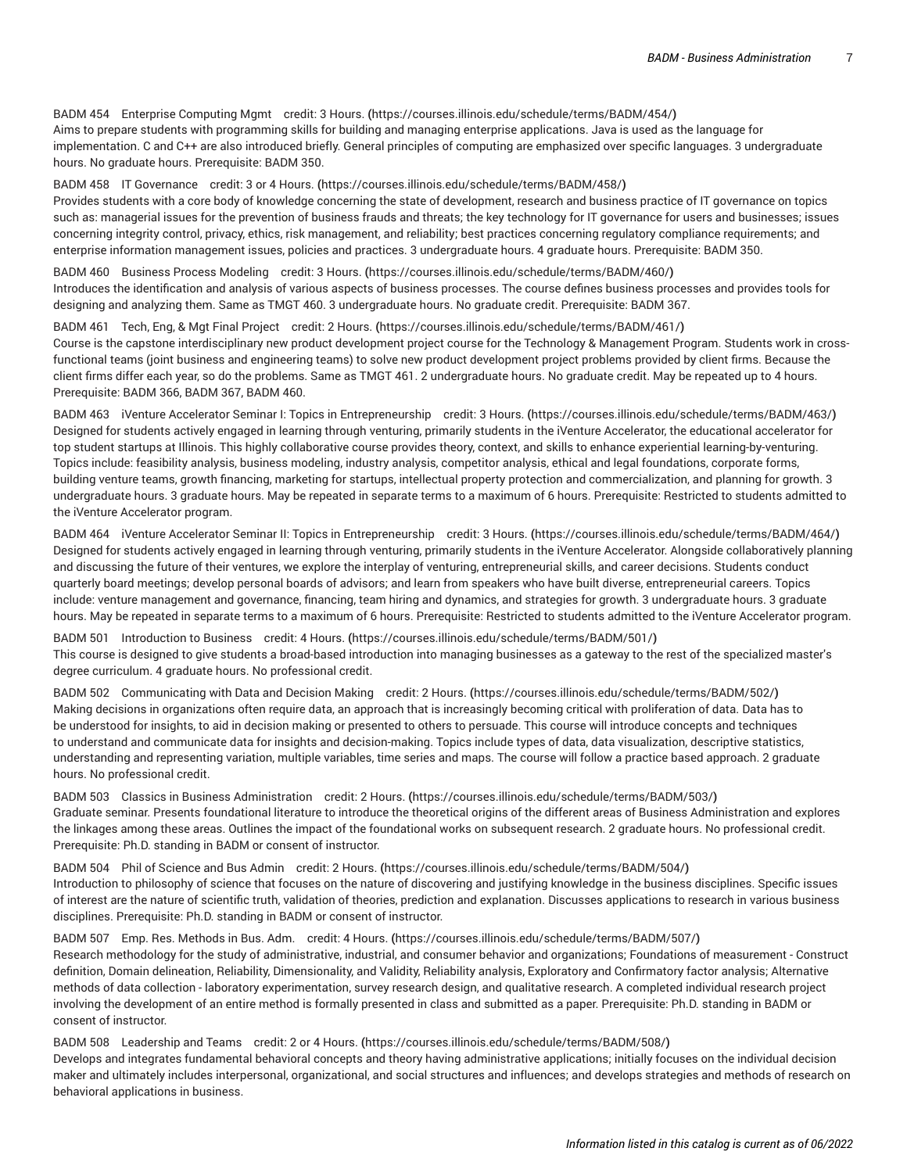BADM 454 Enterprise [Computing](https://courses.illinois.edu/schedule/terms/BADM/454/) Mgmt credit: 3 Hours. **(**<https://courses.illinois.edu/schedule/terms/BADM/454/>**)** Aims to prepare students with programming skills for building and managing enterprise applications. Java is used as the language for implementation. C and C++ are also introduced briefly. General principles of computing are emphasized over specific languages. 3 undergraduate hours. No graduate hours. Prerequisite: [BADM 350.](/search/?P=BADM%20350)

BADM 458 IT [Governance](https://courses.illinois.edu/schedule/terms/BADM/458/) credit: 3 or 4 Hours. **(**<https://courses.illinois.edu/schedule/terms/BADM/458/>**)**

Provides students with a core body of knowledge concerning the state of development, research and business practice of IT governance on topics such as: managerial issues for the prevention of business frauds and threats; the key technology for IT governance for users and businesses; issues concerning integrity control, privacy, ethics, risk management, and reliability; best practices concerning regulatory compliance requirements; and enterprise information management issues, policies and practices. 3 undergraduate hours. 4 graduate hours. Prerequisite: [BADM 350](/search/?P=BADM%20350).

BADM 460 Business Process [Modeling](https://courses.illinois.edu/schedule/terms/BADM/460/) credit: 3 Hours. **(**<https://courses.illinois.edu/schedule/terms/BADM/460/>**)** Introduces the identification and analysis of various aspects of business processes. The course defines business processes and provides tools for designing and analyzing them. Same as [TMGT 460](/search/?P=TMGT%20460). 3 undergraduate hours. No graduate credit. Prerequisite: [BADM 367](/search/?P=BADM%20367).

BADM 461 Tech, Eng, & Mgt Final [Project](https://courses.illinois.edu/schedule/terms/BADM/461/) credit: 2 Hours. **(**<https://courses.illinois.edu/schedule/terms/BADM/461/>**)** Course is the capstone interdisciplinary new product development project course for the Technology & Management Program. Students work in crossfunctional teams (joint business and engineering teams) to solve new product development project problems provided by client firms. Because the client firms differ each year, so do the problems. Same as [TMGT 461](/search/?P=TMGT%20461). 2 undergraduate hours. No graduate credit. May be repeated up to 4 hours. Prerequisite: [BADM 366](/search/?P=BADM%20366), [BADM 367,](/search/?P=BADM%20367) [BADM 460](/search/?P=BADM%20460).

BADM 463 iVenture Accelerator Seminar I: Topics in [Entrepreneurship](https://courses.illinois.edu/schedule/terms/BADM/463/) credit: 3 Hours. **(**<https://courses.illinois.edu/schedule/terms/BADM/463/>**)** Designed for students actively engaged in learning through venturing, primarily students in the iVenture Accelerator, the educational accelerator for top student startups at Illinois. This highly collaborative course provides theory, context, and skills to enhance experiential learning-by-venturing. Topics include: feasibility analysis, business modeling, industry analysis, competitor analysis, ethical and legal foundations, corporate forms, building venture teams, growth financing, marketing for startups, intellectual property protection and commercialization, and planning for growth. 3 undergraduate hours. 3 graduate hours. May be repeated in separate terms to a maximum of 6 hours. Prerequisite: Restricted to students admitted to the iVenture Accelerator program.

BADM 464 iVenture Accelerator Seminar II: Topics in [Entrepreneurship](https://courses.illinois.edu/schedule/terms/BADM/464/) credit: 3 Hours. **(**<https://courses.illinois.edu/schedule/terms/BADM/464/>**)** Designed for students actively engaged in learning through venturing, primarily students in the iVenture Accelerator. Alongside collaboratively planning and discussing the future of their ventures, we explore the interplay of venturing, entrepreneurial skills, and career decisions. Students conduct quarterly board meetings; develop personal boards of advisors; and learn from speakers who have built diverse, entrepreneurial careers. Topics include: venture management and governance, financing, team hiring and dynamics, and strategies for growth. 3 undergraduate hours. 3 graduate hours. May be repeated in separate terms to a maximum of 6 hours. Prerequisite: Restricted to students admitted to the iVenture Accelerator program.

BADM 501 [Introduction](https://courses.illinois.edu/schedule/terms/BADM/501/) to Business credit: 4 Hours. **(**<https://courses.illinois.edu/schedule/terms/BADM/501/>**)** This course is designed to give students a broad-based introduction into managing businesses as a gateway to the rest of the specialized master's degree curriculum. 4 graduate hours. No professional credit.

BADM 502 [Communicating](https://courses.illinois.edu/schedule/terms/BADM/502/) with Data and Decision Making credit: 2 Hours. **(**<https://courses.illinois.edu/schedule/terms/BADM/502/>**)** Making decisions in organizations often require data, an approach that is increasingly becoming critical with proliferation of data. Data has to be understood for insights, to aid in decision making or presented to others to persuade. This course will introduce concepts and techniques to understand and communicate data for insights and decision-making. Topics include types of data, data visualization, descriptive statistics, understanding and representing variation, multiple variables, time series and maps. The course will follow a practice based approach. 2 graduate hours. No professional credit.

BADM 503 Classics in Business [Administration](https://courses.illinois.edu/schedule/terms/BADM/503/) credit: 2 Hours. **(**<https://courses.illinois.edu/schedule/terms/BADM/503/>**)** Graduate seminar. Presents foundational literature to introduce the theoretical origins of the different areas of Business Administration and explores the linkages among these areas. Outlines the impact of the foundational works on subsequent research. 2 graduate hours. No professional credit. Prerequisite: Ph.D. standing in BADM or consent of instructor.

BADM 504 Phil of [Science](https://courses.illinois.edu/schedule/terms/BADM/504/) and Bus Admin credit: 2 Hours. **(**<https://courses.illinois.edu/schedule/terms/BADM/504/>**)** Introduction to philosophy of science that focuses on the nature of discovering and justifying knowledge in the business disciplines. Specific issues of interest are the nature of scientific truth, validation of theories, prediction and explanation. Discusses applications to research in various business disciplines. Prerequisite: Ph.D. standing in BADM or consent of instructor.

BADM 507 Emp. Res. [Methods](https://courses.illinois.edu/schedule/terms/BADM/507/) in Bus. Adm. credit: 4 Hours. **(**<https://courses.illinois.edu/schedule/terms/BADM/507/>**)** Research methodology for the study of administrative, industrial, and consumer behavior and organizations; Foundations of measurement - Construct definition, Domain delineation, Reliability, Dimensionality, and Validity, Reliability analysis, Exploratory and Confirmatory factor analysis; Alternative methods of data collection - laboratory experimentation, survey research design, and qualitative research. A completed individual research project involving the development of an entire method is formally presented in class and submitted as a paper. Prerequisite: Ph.D. standing in BADM or consent of instructor.

BADM 508 [Leadership](https://courses.illinois.edu/schedule/terms/BADM/508/) and Teams credit: 2 or 4 Hours. **(**<https://courses.illinois.edu/schedule/terms/BADM/508/>**)** Develops and integrates fundamental behavioral concepts and theory having administrative applications; initially focuses on the individual decision maker and ultimately includes interpersonal, organizational, and social structures and influences; and develops strategies and methods of research on behavioral applications in business.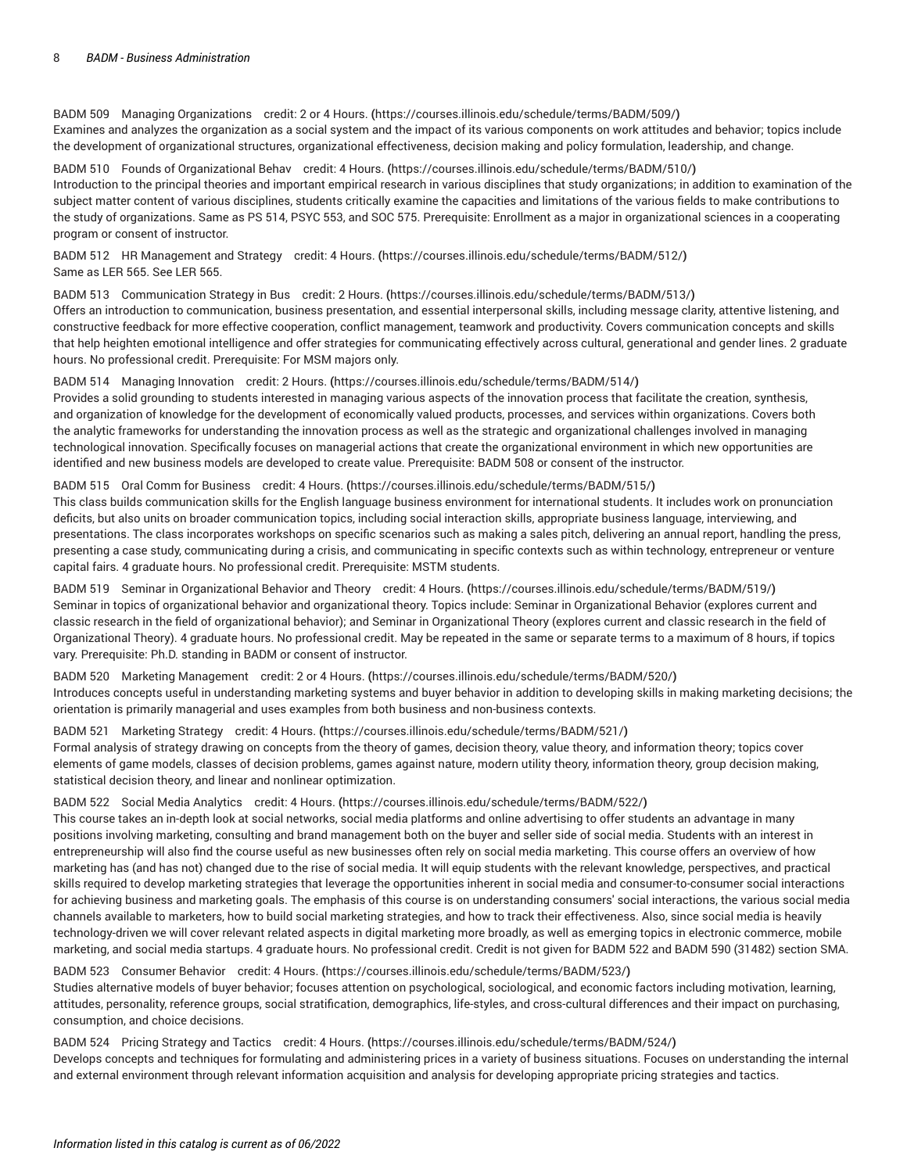BADM 509 Managing [Organizations](https://courses.illinois.edu/schedule/terms/BADM/509/) credit: 2 or 4 Hours. **(**<https://courses.illinois.edu/schedule/terms/BADM/509/>**)** Examines and analyzes the organization as a social system and the impact of its various components on work attitudes and behavior; topics include the development of organizational structures, organizational effectiveness, decision making and policy formulation, leadership, and change.

BADM 510 Founds of [Organizational](https://courses.illinois.edu/schedule/terms/BADM/510/) Behav credit: 4 Hours. **(**<https://courses.illinois.edu/schedule/terms/BADM/510/>**)** Introduction to the principal theories and important empirical research in various disciplines that study organizations; in addition to examination of the subject matter content of various disciplines, students critically examine the capacities and limitations of the various fields to make contributions to the study of organizations. Same as [PS 514,](/search/?P=PS%20514) [PSYC](/search/?P=PSYC%20553) 553, and [SOC 575.](/search/?P=SOC%20575) Prerequisite: Enrollment as a major in organizational sciences in a cooperating program or consent of instructor.

BADM 512 HR [Management](https://courses.illinois.edu/schedule/terms/BADM/512/) and Strategy credit: 4 Hours. **(**<https://courses.illinois.edu/schedule/terms/BADM/512/>**)** Same as [LER 565.](/search/?P=LER%20565) See [LER 565](/search/?P=LER%20565).

BADM 513 [Communication](https://courses.illinois.edu/schedule/terms/BADM/513/) Strategy in Bus credit: 2 Hours. **(**<https://courses.illinois.edu/schedule/terms/BADM/513/>**)** Offers an introduction to communication, business presentation, and essential interpersonal skills, including message clarity, attentive listening, and constructive feedback for more effective cooperation, conflict management, teamwork and productivity. Covers communication concepts and skills that help heighten emotional intelligence and offer strategies for communicating effectively across cultural, generational and gender lines. 2 graduate hours. No professional credit. Prerequisite: For MSM majors only.

BADM 514 Managing [Innovation](https://courses.illinois.edu/schedule/terms/BADM/514/) credit: 2 Hours. **(**<https://courses.illinois.edu/schedule/terms/BADM/514/>**)**

Provides a solid grounding to students interested in managing various aspects of the innovation process that facilitate the creation, synthesis, and organization of knowledge for the development of economically valued products, processes, and services within organizations. Covers both the analytic frameworks for understanding the innovation process as well as the strategic and organizational challenges involved in managing technological innovation. Specifically focuses on managerial actions that create the organizational environment in which new opportunities are identified and new business models are developed to create value. Prerequisite: [BADM 508](/search/?P=BADM%20508) or consent of the instructor.

BADM 515 Oral Comm for [Business](https://courses.illinois.edu/schedule/terms/BADM/515/) credit: 4 Hours. **(**<https://courses.illinois.edu/schedule/terms/BADM/515/>**)**

This class builds communication skills for the English language business environment for international students. It includes work on pronunciation deficits, but also units on broader communication topics, including social interaction skills, appropriate business language, interviewing, and presentations. The class incorporates workshops on specific scenarios such as making a sales pitch, delivering an annual report, handling the press, presenting a case study, communicating during a crisis, and communicating in specific contexts such as within technology, entrepreneur or venture capital fairs. 4 graduate hours. No professional credit. Prerequisite: MSTM students.

BADM 519 Seminar in [Organizational](https://courses.illinois.edu/schedule/terms/BADM/519/) Behavior and Theory credit: 4 Hours. **(**<https://courses.illinois.edu/schedule/terms/BADM/519/>**)** Seminar in topics of organizational behavior and organizational theory. Topics include: Seminar in Organizational Behavior (explores current and classic research in the field of organizational behavior); and Seminar in Organizational Theory (explores current and classic research in the field of Organizational Theory). 4 graduate hours. No professional credit. May be repeated in the same or separate terms to a maximum of 8 hours, if topics vary. Prerequisite: Ph.D. standing in BADM or consent of instructor.

BADM 520 Marketing [Management](https://courses.illinois.edu/schedule/terms/BADM/520/) credit: 2 or 4 Hours. **(**<https://courses.illinois.edu/schedule/terms/BADM/520/>**)** Introduces concepts useful in understanding marketing systems and buyer behavior in addition to developing skills in making marketing decisions; the orientation is primarily managerial and uses examples from both business and non-business contexts.

BADM 521 [Marketing](https://courses.illinois.edu/schedule/terms/BADM/521/) Strategy credit: 4 Hours. **(**<https://courses.illinois.edu/schedule/terms/BADM/521/>**)** Formal analysis of strategy drawing on concepts from the theory of games, decision theory, value theory, and information theory; topics cover elements of game models, classes of decision problems, games against nature, modern utility theory, information theory, group decision making, statistical decision theory, and linear and nonlinear optimization.

### BADM 522 Social Media [Analytics](https://courses.illinois.edu/schedule/terms/BADM/522/) credit: 4 Hours. **(**<https://courses.illinois.edu/schedule/terms/BADM/522/>**)**

This course takes an in-depth look at social networks, social media platforms and online advertising to offer students an advantage in many positions involving marketing, consulting and brand management both on the buyer and seller side of social media. Students with an interest in entrepreneurship will also find the course useful as new businesses often rely on social media marketing. This course offers an overview of how marketing has (and has not) changed due to the rise of social media. It will equip students with the relevant knowledge, perspectives, and practical skills required to develop marketing strategies that leverage the opportunities inherent in social media and consumer-to-consumer social interactions for achieving business and marketing goals. The emphasis of this course is on understanding consumers' social interactions, the various social media channels available to marketers, how to build social marketing strategies, and how to track their effectiveness. Also, since social media is heavily technology-driven we will cover relevant related aspects in digital marketing more broadly, as well as emerging topics in electronic commerce, mobile marketing, and social media startups. 4 graduate hours. No professional credit. Credit is not given for [BADM 522](/search/?P=BADM%20522) and [BADM 590](/search/?P=BADM%20590) (31482) section SMA.

BADM 523 [Consumer](https://courses.illinois.edu/schedule/terms/BADM/523/) Behavior credit: 4 Hours. **(**<https://courses.illinois.edu/schedule/terms/BADM/523/>**)** Studies alternative models of buyer behavior; focuses attention on psychological, sociological, and economic factors including motivation, learning, attitudes, personality, reference groups, social stratification, demographics, life-styles, and cross-cultural differences and their impact on purchasing, consumption, and choice decisions.

BADM 524 Pricing [Strategy](https://courses.illinois.edu/schedule/terms/BADM/524/) and Tactics credit: 4 Hours. **(**<https://courses.illinois.edu/schedule/terms/BADM/524/>**)** Develops concepts and techniques for formulating and administering prices in a variety of business situations. Focuses on understanding the internal and external environment through relevant information acquisition and analysis for developing appropriate pricing strategies and tactics.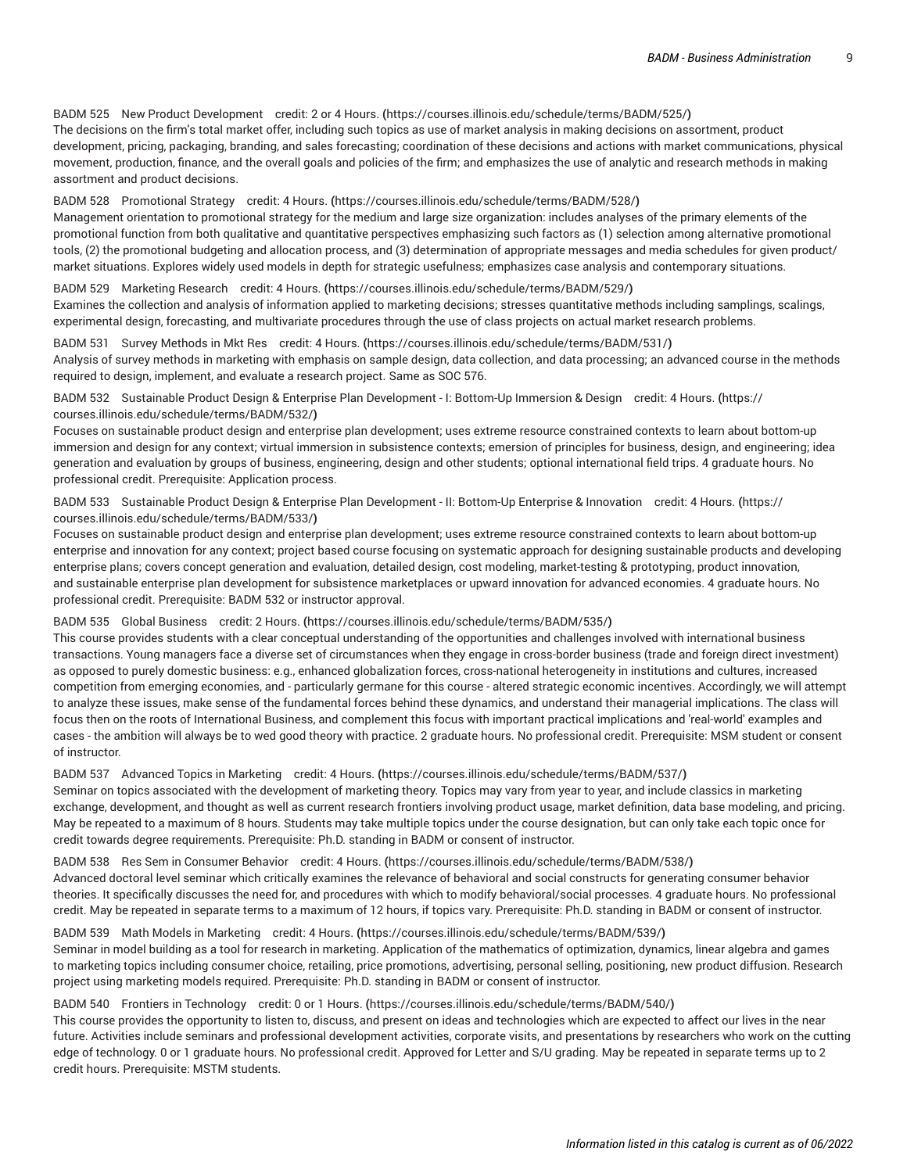#### BADM 525 New Product [Development](https://courses.illinois.edu/schedule/terms/BADM/525/) credit: 2 or 4 Hours. **(**<https://courses.illinois.edu/schedule/terms/BADM/525/>**)**

The decisions on the firm's total market offer, including such topics as use of market analysis in making decisions on assortment, product development, pricing, packaging, branding, and sales forecasting; coordination of these decisions and actions with market communications, physical movement, production, finance, and the overall goals and policies of the firm; and emphasizes the use of analytic and research methods in making assortment and product decisions.

# BADM 528 [Promotional](https://courses.illinois.edu/schedule/terms/BADM/528/) Strategy credit: 4 Hours. **(**<https://courses.illinois.edu/schedule/terms/BADM/528/>**)**

Management orientation to promotional strategy for the medium and large size organization: includes analyses of the primary elements of the promotional function from both qualitative and quantitative perspectives emphasizing such factors as (1) selection among alternative promotional tools, (2) the promotional budgeting and allocation process, and (3) determination of appropriate messages and media schedules for given product/ market situations. Explores widely used models in depth for strategic usefulness; emphasizes case analysis and contemporary situations.

# BADM 529 [Marketing](https://courses.illinois.edu/schedule/terms/BADM/529/) Research credit: 4 Hours. **(**<https://courses.illinois.edu/schedule/terms/BADM/529/>**)** Examines the collection and analysis of information applied to marketing decisions; stresses quantitative methods including samplings, scalings, experimental design, forecasting, and multivariate procedures through the use of class projects on actual market research problems.

BADM 531 Survey [Methods](https://courses.illinois.edu/schedule/terms/BADM/531/) in Mkt Res credit: 4 Hours. **(**<https://courses.illinois.edu/schedule/terms/BADM/531/>**)** Analysis of survey methods in marketing with emphasis on sample design, data collection, and data processing; an advanced course in the methods required to design, implement, and evaluate a research project. Same as [SOC 576.](/search/?P=SOC%20576)

# BADM 532 Sustainable Product Design & Enterprise Plan [Development](https://courses.illinois.edu/schedule/terms/BADM/532/) - I: Bottom-Up Immersion & Design credit: 4 Hours. **(**[https://](https://courses.illinois.edu/schedule/terms/BADM/532/) [courses.illinois.edu/schedule/terms/BADM/532/](https://courses.illinois.edu/schedule/terms/BADM/532/)**)**

Focuses on sustainable product design and enterprise plan development; uses extreme resource constrained contexts to learn about bottom-up immersion and design for any context; virtual immersion in subsistence contexts; emersion of principles for business, design, and engineering; idea generation and evaluation by groups of business, engineering, design and other students; optional international field trips. 4 graduate hours. No professional credit. Prerequisite: Application process.

BADM 533 Sustainable Product Design & Enterprise Plan [Development](https://courses.illinois.edu/schedule/terms/BADM/533/) - II: Bottom-Up Enterprise & Innovation credit: 4 Hours. **(**[https://](https://courses.illinois.edu/schedule/terms/BADM/533/) [courses.illinois.edu/schedule/terms/BADM/533/](https://courses.illinois.edu/schedule/terms/BADM/533/)**)**

Focuses on sustainable product design and enterprise plan development; uses extreme resource constrained contexts to learn about bottom-up enterprise and innovation for any context; project based course focusing on systematic approach for designing sustainable products and developing enterprise plans; covers concept generation and evaluation, detailed design, cost modeling, market-testing & prototyping, product innovation, and sustainable enterprise plan development for subsistence marketplaces or upward innovation for advanced economies. 4 graduate hours. No professional credit. Prerequisite: [BADM 532](/search/?P=BADM%20532) or instructor approval.

# BADM 535 Global [Business](https://courses.illinois.edu/schedule/terms/BADM/535/) credit: 2 Hours. **(**<https://courses.illinois.edu/schedule/terms/BADM/535/>**)**

This course provides students with a clear conceptual understanding of the opportunities and challenges involved with international business transactions. Young managers face a diverse set of circumstances when they engage in cross-border business (trade and foreign direct investment) as opposed to purely domestic business: e.g., enhanced globalization forces, cross-national heterogeneity in institutions and cultures, increased competition from emerging economies, and - particularly germane for this course - altered strategic economic incentives. Accordingly, we will attempt to analyze these issues, make sense of the fundamental forces behind these dynamics, and understand their managerial implications. The class will focus then on the roots of International Business, and complement this focus with important practical implications and 'real-world' examples and cases - the ambition will always be to wed good theory with practice. 2 graduate hours. No professional credit. Prerequisite: MSM student or consent of instructor.

#### BADM 537 Advanced Topics in [Marketing](https://courses.illinois.edu/schedule/terms/BADM/537/) credit: 4 Hours. **(**<https://courses.illinois.edu/schedule/terms/BADM/537/>**)** Seminar on topics associated with the development of marketing theory. Topics may vary from year to year, and include classics in marketing

exchange, development, and thought as well as current research frontiers involving product usage, market definition, data base modeling, and pricing. May be repeated to a maximum of 8 hours. Students may take multiple topics under the course designation, but can only take each topic once for credit towards degree requirements. Prerequisite: Ph.D. standing in BADM or consent of instructor.

BADM 538 Res Sem in [Consumer](https://courses.illinois.edu/schedule/terms/BADM/538/) Behavior credit: 4 Hours. **(**<https://courses.illinois.edu/schedule/terms/BADM/538/>**)** Advanced doctoral level seminar which critically examines the relevance of behavioral and social constructs for generating consumer behavior theories. It specifically discusses the need for, and procedures with which to modify behavioral/social processes. 4 graduate hours. No professional credit. May be repeated in separate terms to a maximum of 12 hours, if topics vary. Prerequisite: Ph.D. standing in BADM or consent of instructor.

#### BADM 539 Math Models in [Marketing](https://courses.illinois.edu/schedule/terms/BADM/539/) credit: 4 Hours. **(**<https://courses.illinois.edu/schedule/terms/BADM/539/>**)**

Seminar in model building as a tool for research in marketing. Application of the mathematics of optimization, dynamics, linear algebra and games to marketing topics including consumer choice, retailing, price promotions, advertising, personal selling, positioning, new product diffusion. Research project using marketing models required. Prerequisite: Ph.D. standing in BADM or consent of instructor.

### BADM 540 Frontiers in [Technology](https://courses.illinois.edu/schedule/terms/BADM/540/) credit: 0 or 1 Hours. **(**<https://courses.illinois.edu/schedule/terms/BADM/540/>**)**

This course provides the opportunity to listen to, discuss, and present on ideas and technologies which are expected to affect our lives in the near future. Activities include seminars and professional development activities, corporate visits, and presentations by researchers who work on the cutting edge of technology. 0 or 1 graduate hours. No professional credit. Approved for Letter and S/U grading. May be repeated in separate terms up to 2 credit hours. Prerequisite: MSTM students.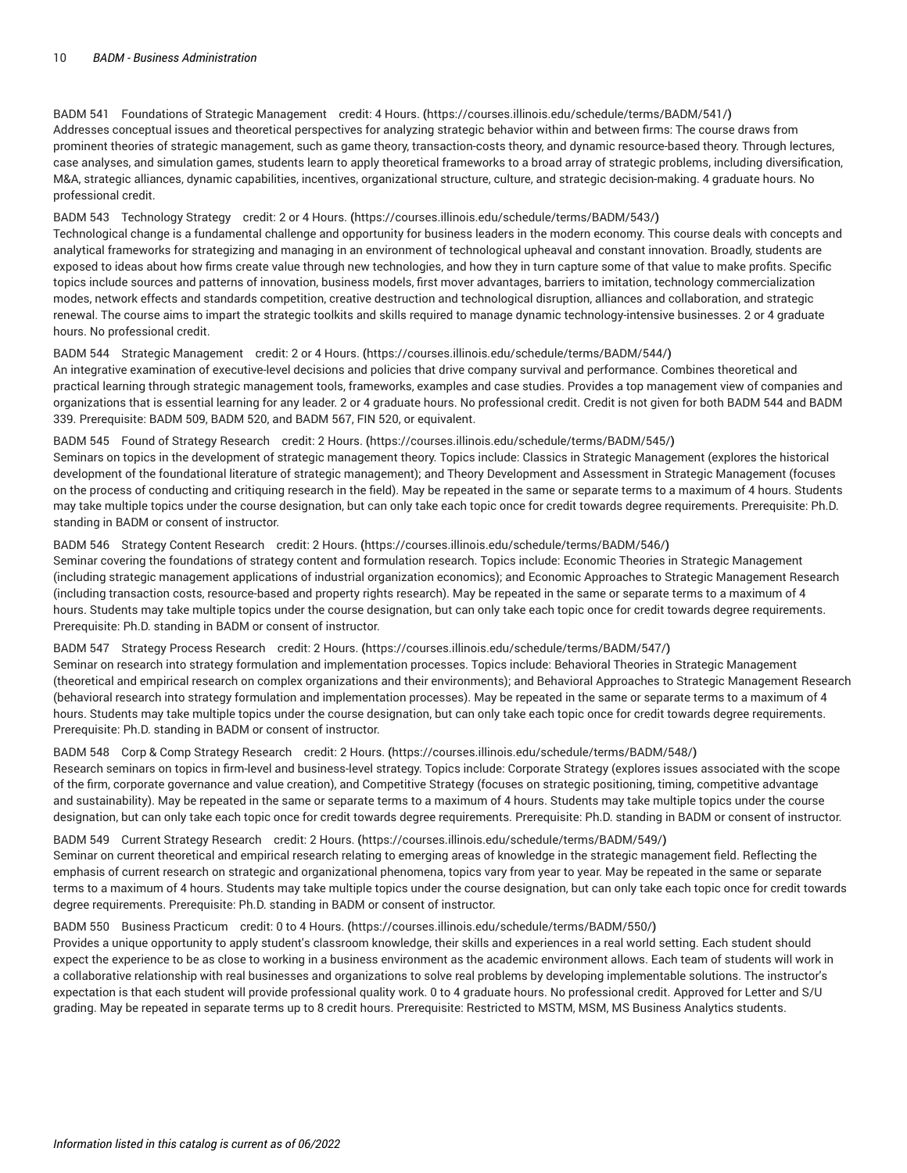BADM 541 Foundations of Strategic [Management](https://courses.illinois.edu/schedule/terms/BADM/541/) credit: 4 Hours. **(**<https://courses.illinois.edu/schedule/terms/BADM/541/>**)** Addresses conceptual issues and theoretical perspectives for analyzing strategic behavior within and between firms: The course draws from prominent theories of strategic management, such as game theory, transaction-costs theory, and dynamic resource-based theory. Through lectures, case analyses, and simulation games, students learn to apply theoretical frameworks to a broad array of strategic problems, including diversification, M&A, strategic alliances, dynamic capabilities, incentives, organizational structure, culture, and strategic decision-making. 4 graduate hours. No professional credit.

# BADM 543 [Technology](https://courses.illinois.edu/schedule/terms/BADM/543/) Strategy credit: 2 or 4 Hours. **(**<https://courses.illinois.edu/schedule/terms/BADM/543/>**)**

Technological change is a fundamental challenge and opportunity for business leaders in the modern economy. This course deals with concepts and analytical frameworks for strategizing and managing in an environment of technological upheaval and constant innovation. Broadly, students are exposed to ideas about how firms create value through new technologies, and how they in turn capture some of that value to make profits. Specific topics include sources and patterns of innovation, business models, first mover advantages, barriers to imitation, technology commercialization modes, network effects and standards competition, creative destruction and technological disruption, alliances and collaboration, and strategic renewal. The course aims to impart the strategic toolkits and skills required to manage dynamic technology-intensive businesses. 2 or 4 graduate hours. No professional credit.

### BADM 544 Strategic [Management](https://courses.illinois.edu/schedule/terms/BADM/544/) credit: 2 or 4 Hours. **(**<https://courses.illinois.edu/schedule/terms/BADM/544/>**)**

An integrative examination of executive-level decisions and policies that drive company survival and performance. Combines theoretical and practical learning through strategic management tools, frameworks, examples and case studies. Provides a top management view of companies and organizations that is essential learning for any leader. 2 or 4 graduate hours. No professional credit. Credit is not given for both [BADM 544](/search/?P=BADM%20544) and BADM 339. Prerequisite: [BADM 509,](/search/?P=BADM%20509) [BADM 520](/search/?P=BADM%20520), and [BADM 567,](/search/?P=BADM%20567) [FIN 520](/search/?P=FIN%20520), or equivalent.

#### BADM 545 Found of Strategy [Research](https://courses.illinois.edu/schedule/terms/BADM/545/) credit: 2 Hours. **(**<https://courses.illinois.edu/schedule/terms/BADM/545/>**)**

Seminars on topics in the development of strategic management theory. Topics include: Classics in Strategic Management (explores the historical development of the foundational literature of strategic management); and Theory Development and Assessment in Strategic Management (focuses on the process of conducting and critiquing research in the field). May be repeated in the same or separate terms to a maximum of 4 hours. Students may take multiple topics under the course designation, but can only take each topic once for credit towards degree requirements. Prerequisite: Ph.D. standing in BADM or consent of instructor.

# BADM 546 Strategy Content [Research](https://courses.illinois.edu/schedule/terms/BADM/546/) credit: 2 Hours. **(**<https://courses.illinois.edu/schedule/terms/BADM/546/>**)**

Seminar covering the foundations of strategy content and formulation research. Topics include: Economic Theories in Strategic Management (including strategic management applications of industrial organization economics); and Economic Approaches to Strategic Management Research (including transaction costs, resource-based and property rights research). May be repeated in the same or separate terms to a maximum of 4 hours. Students may take multiple topics under the course designation, but can only take each topic once for credit towards degree requirements. Prerequisite: Ph.D. standing in BADM or consent of instructor.

# BADM 547 Strategy Process [Research](https://courses.illinois.edu/schedule/terms/BADM/547/) credit: 2 Hours. **(**<https://courses.illinois.edu/schedule/terms/BADM/547/>**)**

Seminar on research into strategy formulation and implementation processes. Topics include: Behavioral Theories in Strategic Management (theoretical and empirical research on complex organizations and their environments); and Behavioral Approaches to Strategic Management Research (behavioral research into strategy formulation and implementation processes). May be repeated in the same or separate terms to a maximum of 4 hours. Students may take multiple topics under the course designation, but can only take each topic once for credit towards degree requirements. Prerequisite: Ph.D. standing in BADM or consent of instructor.

# BADM 548 Corp & Comp Strategy [Research](https://courses.illinois.edu/schedule/terms/BADM/548/) credit: 2 Hours. **(**<https://courses.illinois.edu/schedule/terms/BADM/548/>**)**

Research seminars on topics in firm-level and business-level strategy. Topics include: Corporate Strategy (explores issues associated with the scope of the firm, corporate governance and value creation), and Competitive Strategy (focuses on strategic positioning, timing, competitive advantage and sustainability). May be repeated in the same or separate terms to a maximum of 4 hours. Students may take multiple topics under the course designation, but can only take each topic once for credit towards degree requirements. Prerequisite: Ph.D. standing in BADM or consent of instructor.

# BADM 549 Current Strategy [Research](https://courses.illinois.edu/schedule/terms/BADM/549/) credit: 2 Hours. **(**<https://courses.illinois.edu/schedule/terms/BADM/549/>**)**

Seminar on current theoretical and empirical research relating to emerging areas of knowledge in the strategic management field. Reflecting the emphasis of current research on strategic and organizational phenomena, topics vary from year to year. May be repeated in the same or separate terms to a maximum of 4 hours. Students may take multiple topics under the course designation, but can only take each topic once for credit towards degree requirements. Prerequisite: Ph.D. standing in BADM or consent of instructor.

# BADM 550 Business [Practicum](https://courses.illinois.edu/schedule/terms/BADM/550/) credit: 0 to 4 Hours. **(**<https://courses.illinois.edu/schedule/terms/BADM/550/>**)**

Provides a unique opportunity to apply student's classroom knowledge, their skills and experiences in a real world setting. Each student should expect the experience to be as close to working in a business environment as the academic environment allows. Each team of students will work in a collaborative relationship with real businesses and organizations to solve real problems by developing implementable solutions. The instructor's expectation is that each student will provide professional quality work. 0 to 4 graduate hours. No professional credit. Approved for Letter and S/U grading. May be repeated in separate terms up to 8 credit hours. Prerequisite: Restricted to MSTM, MSM, MS Business Analytics students.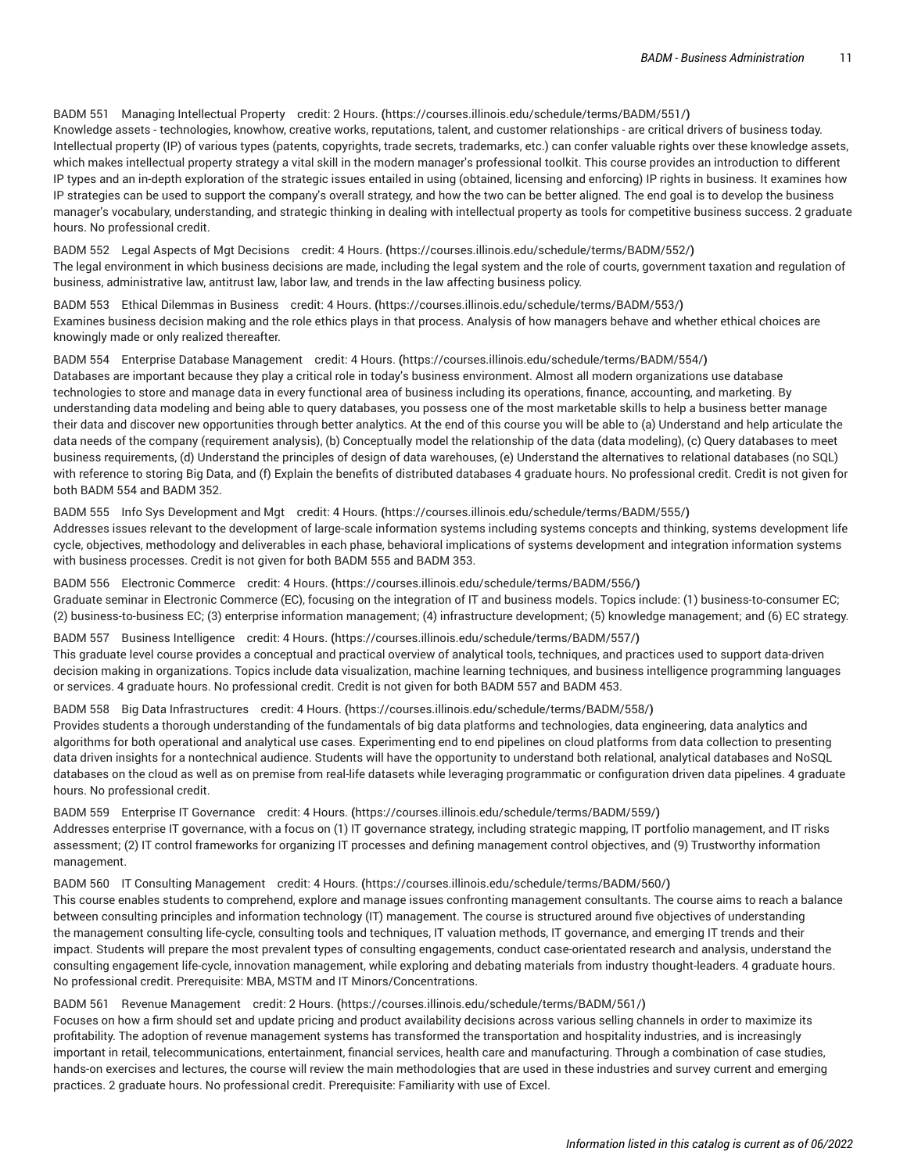### BADM 551 Managing [Intellectual](https://courses.illinois.edu/schedule/terms/BADM/551/) Property credit: 2 Hours. **(**<https://courses.illinois.edu/schedule/terms/BADM/551/>**)**

Knowledge assets - technologies, knowhow, creative works, reputations, talent, and customer relationships - are critical drivers of business today. Intellectual property (IP) of various types (patents, copyrights, trade secrets, trademarks, etc.) can confer valuable rights over these knowledge assets, which makes intellectual property strategy a vital skill in the modern manager's professional toolkit. This course provides an introduction to different IP types and an in-depth exploration of the strategic issues entailed in using (obtained, licensing and enforcing) IP rights in business. It examines how IP strategies can be used to support the company's overall strategy, and how the two can be better aligned. The end goal is to develop the business manager's vocabulary, understanding, and strategic thinking in dealing with intellectual property as tools for competitive business success. 2 graduate hours. No professional credit.

BADM 552 Legal Aspects of Mgt [Decisions](https://courses.illinois.edu/schedule/terms/BADM/552/) credit: 4 Hours. **(**<https://courses.illinois.edu/schedule/terms/BADM/552/>**)** The legal environment in which business decisions are made, including the legal system and the role of courts, government taxation and regulation of business, administrative law, antitrust law, labor law, and trends in the law affecting business policy.

BADM 553 Ethical [Dilemmas](https://courses.illinois.edu/schedule/terms/BADM/553/) in Business credit: 4 Hours. **(**<https://courses.illinois.edu/schedule/terms/BADM/553/>**)** Examines business decision making and the role ethics plays in that process. Analysis of how managers behave and whether ethical choices are knowingly made or only realized thereafter.

BADM 554 Enterprise Database [Management](https://courses.illinois.edu/schedule/terms/BADM/554/) credit: 4 Hours. **(**<https://courses.illinois.edu/schedule/terms/BADM/554/>**)** Databases are important because they play a critical role in today's business environment. Almost all modern organizations use database technologies to store and manage data in every functional area of business including its operations, finance, accounting, and marketing. By understanding data modeling and being able to query databases, you possess one of the most marketable skills to help a business better manage their data and discover new opportunities through better analytics. At the end of this course you will be able to (a) Understand and help articulate the data needs of the company (requirement analysis), (b) Conceptually model the relationship of the data (data modeling), (c) Query databases to meet business requirements, (d) Understand the principles of design of data warehouses, (e) Understand the alternatives to relational databases (no SQL) with reference to storing Big Data, and (f) Explain the benefits of distributed databases 4 graduate hours. No professional credit. Credit is not given for both [BADM 554](/search/?P=BADM%20554) and [BADM 352.](/search/?P=BADM%20352)

BADM 555 Info Sys [Development](https://courses.illinois.edu/schedule/terms/BADM/555/) and Mgt credit: 4 Hours. **(**<https://courses.illinois.edu/schedule/terms/BADM/555/>**)** Addresses issues relevant to the development of large-scale information systems including systems concepts and thinking, systems development life cycle, objectives, methodology and deliverables in each phase, behavioral implications of systems development and integration information systems with business processes. Credit is not given for both [BADM 555](/search/?P=BADM%20555) and [BADM 353](/search/?P=BADM%20353).

BADM 556 Electronic [Commerce](https://courses.illinois.edu/schedule/terms/BADM/556/) credit: 4 Hours. **(**<https://courses.illinois.edu/schedule/terms/BADM/556/>**)** Graduate seminar in Electronic Commerce (EC), focusing on the integration of IT and business models. Topics include: (1) business-to-consumer EC; (2) business-to-business EC; (3) enterprise information management; (4) infrastructure development; (5) knowledge management; and (6) EC strategy.

BADM 557 Business [Intelligence](https://courses.illinois.edu/schedule/terms/BADM/557/) credit: 4 Hours. **(**<https://courses.illinois.edu/schedule/terms/BADM/557/>**)** This graduate level course provides a conceptual and practical overview of analytical tools, techniques, and practices used to support data-driven decision making in organizations. Topics include data visualization, machine learning techniques, and business intelligence programming languages or services. 4 graduate hours. No professional credit. Credit is not given for both [BADM 557](/search/?P=BADM%20557) and [BADM 453](/search/?P=BADM%20453).

BADM 558 Big Data [Infrastructures](https://courses.illinois.edu/schedule/terms/BADM/558/) credit: 4 Hours. **(**<https://courses.illinois.edu/schedule/terms/BADM/558/>**)**

Provides students a thorough understanding of the fundamentals of big data platforms and technologies, data engineering, data analytics and algorithms for both operational and analytical use cases. Experimenting end to end pipelines on cloud platforms from data collection to presenting data driven insights for a nontechnical audience. Students will have the opportunity to understand both relational, analytical databases and NoSQL databases on the cloud as well as on premise from real-life datasets while leveraging programmatic or configuration driven data pipelines. 4 graduate hours. No professional credit.

BADM 559 Enterprise IT [Governance](https://courses.illinois.edu/schedule/terms/BADM/559/) credit: 4 Hours. **(**<https://courses.illinois.edu/schedule/terms/BADM/559/>**)** Addresses enterprise IT governance, with a focus on (1) IT governance strategy, including strategic mapping, IT portfolio management, and IT risks assessment; (2) IT control frameworks for organizing IT processes and defining management control objectives, and (9) Trustworthy information management.

BADM 560 IT Consulting [Management](https://courses.illinois.edu/schedule/terms/BADM/560/) credit: 4 Hours. **(**<https://courses.illinois.edu/schedule/terms/BADM/560/>**)**

This course enables students to comprehend, explore and manage issues confronting management consultants. The course aims to reach a balance between consulting principles and information technology (IT) management. The course is structured around five objectives of understanding the management consulting life-cycle, consulting tools and techniques, IT valuation methods, IT governance, and emerging IT trends and their impact. Students will prepare the most prevalent types of consulting engagements, conduct case-orientated research and analysis, understand the consulting engagement life-cycle, innovation management, while exploring and debating materials from industry thought-leaders. 4 graduate hours. No professional credit. Prerequisite: MBA, MSTM and IT Minors/Concentrations.

BADM 561 Revenue [Management](https://courses.illinois.edu/schedule/terms/BADM/561/) credit: 2 Hours. **(**<https://courses.illinois.edu/schedule/terms/BADM/561/>**)**

Focuses on how a firm should set and update pricing and product availability decisions across various selling channels in order to maximize its profitability. The adoption of revenue management systems has transformed the transportation and hospitality industries, and is increasingly important in retail, telecommunications, entertainment, financial services, health care and manufacturing. Through a combination of case studies, hands-on exercises and lectures, the course will review the main methodologies that are used in these industries and survey current and emerging practices. 2 graduate hours. No professional credit. Prerequisite: Familiarity with use of Excel.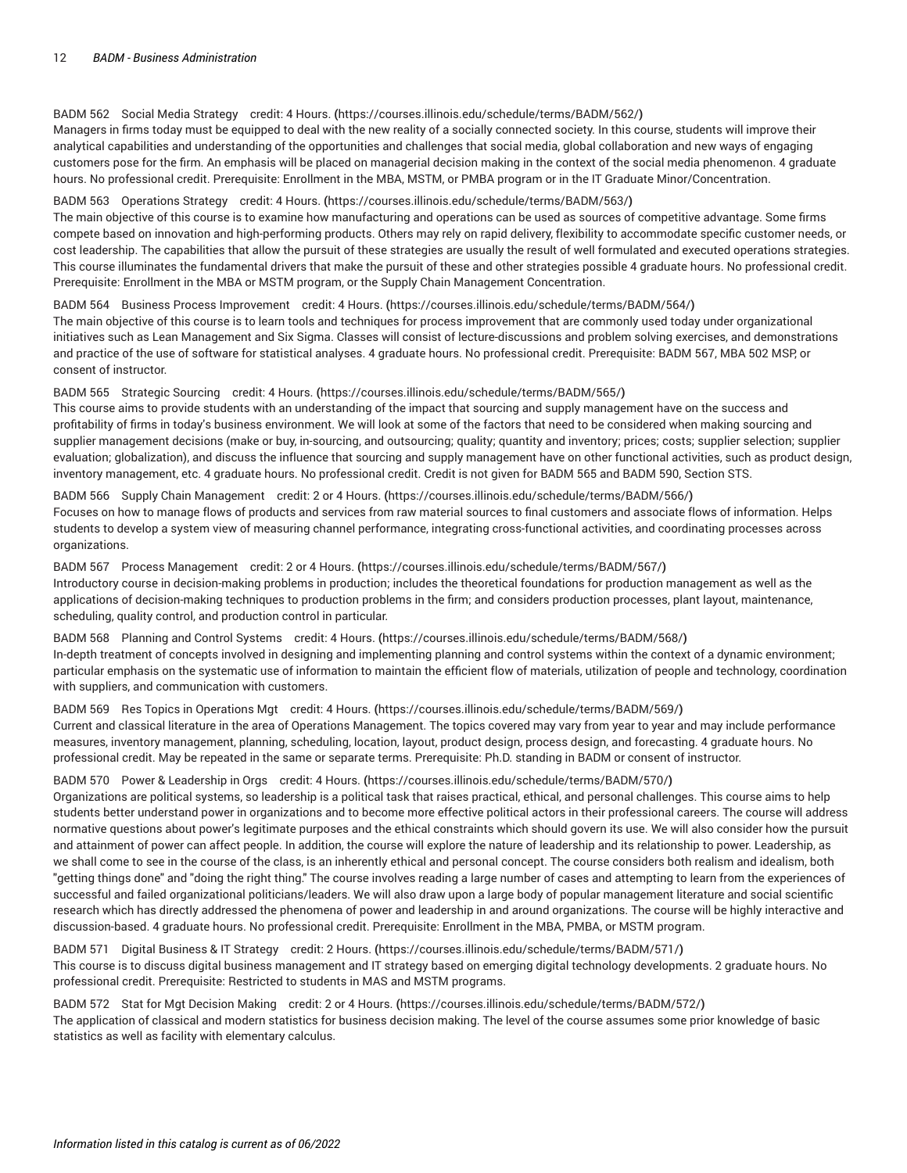# BADM 562 Social Media [Strategy](https://courses.illinois.edu/schedule/terms/BADM/562/) credit: 4 Hours. **(**<https://courses.illinois.edu/schedule/terms/BADM/562/>**)**

Managers in firms today must be equipped to deal with the new reality of a socially connected society. In this course, students will improve their analytical capabilities and understanding of the opportunities and challenges that social media, global collaboration and new ways of engaging customers pose for the firm. An emphasis will be placed on managerial decision making in the context of the social media phenomenon. 4 graduate hours. No professional credit. Prerequisite: Enrollment in the MBA, MSTM, or PMBA program or in the IT Graduate Minor/Concentration.

# BADM 563 [Operations](https://courses.illinois.edu/schedule/terms/BADM/563/) Strategy credit: 4 Hours. **(**<https://courses.illinois.edu/schedule/terms/BADM/563/>**)**

The main objective of this course is to examine how manufacturing and operations can be used as sources of competitive advantage. Some firms compete based on innovation and high-performing products. Others may rely on rapid delivery, flexibility to accommodate specific customer needs, or cost leadership. The capabilities that allow the pursuit of these strategies are usually the result of well formulated and executed operations strategies. This course illuminates the fundamental drivers that make the pursuit of these and other strategies possible 4 graduate hours. No professional credit. Prerequisite: Enrollment in the MBA or MSTM program, or the Supply Chain Management Concentration.

BADM 564 Business Process [Improvement](https://courses.illinois.edu/schedule/terms/BADM/564/) credit: 4 Hours. **(**<https://courses.illinois.edu/schedule/terms/BADM/564/>**)**

The main objective of this course is to learn tools and techniques for process improvement that are commonly used today under organizational initiatives such as Lean Management and Six Sigma. Classes will consist of lecture-discussions and problem solving exercises, and demonstrations and practice of the use of software for statistical analyses. 4 graduate hours. No professional credit. Prerequisite: [BADM 567,](/search/?P=BADM%20567) [MBA 502](/search/?P=MBA%20502) MSP, or consent of instructor.

#### BADM 565 [Strategic](https://courses.illinois.edu/schedule/terms/BADM/565/) Sourcing credit: 4 Hours. **(**<https://courses.illinois.edu/schedule/terms/BADM/565/>**)**

This course aims to provide students with an understanding of the impact that sourcing and supply management have on the success and profitability of firms in today's business environment. We will look at some of the factors that need to be considered when making sourcing and supplier management decisions (make or buy, in-sourcing, and outsourcing; quality; quantity and inventory; prices; costs; supplier selection; supplier evaluation; globalization), and discuss the influence that sourcing and supply management have on other functional activities, such as product design, inventory management, etc. 4 graduate hours. No professional credit. Credit is not given for [BADM 565](/search/?P=BADM%20565) and [BADM 590,](/search/?P=BADM%20590) Section STS.

BADM 566 Supply Chain [Management](https://courses.illinois.edu/schedule/terms/BADM/566/) credit: 2 or 4 Hours. **(**<https://courses.illinois.edu/schedule/terms/BADM/566/>**)** Focuses on how to manage flows of products and services from raw material sources to final customers and associate flows of information. Helps students to develop a system view of measuring channel performance, integrating cross-functional activities, and coordinating processes across organizations.

BADM 567 Process [Management](https://courses.illinois.edu/schedule/terms/BADM/567/) credit: 2 or 4 Hours. **(**<https://courses.illinois.edu/schedule/terms/BADM/567/>**)** Introductory course in decision-making problems in production; includes the theoretical foundations for production management as well as the applications of decision-making techniques to production problems in the firm; and considers production processes, plant layout, maintenance, scheduling, quality control, and production control in particular.

BADM 568 [Planning](https://courses.illinois.edu/schedule/terms/BADM/568/) and Control Systems credit: 4 Hours. **(**<https://courses.illinois.edu/schedule/terms/BADM/568/>**)** In-depth treatment of concepts involved in designing and implementing planning and control systems within the context of a dynamic environment; particular emphasis on the systematic use of information to maintain the efficient flow of materials, utilization of people and technology, coordination with suppliers, and communication with customers.

BADM 569 Res Topics in [Operations](https://courses.illinois.edu/schedule/terms/BADM/569/) Mgt credit: 4 Hours. **(**<https://courses.illinois.edu/schedule/terms/BADM/569/>**)** Current and classical literature in the area of Operations Management. The topics covered may vary from year to year and may include performance measures, inventory management, planning, scheduling, location, layout, product design, process design, and forecasting. 4 graduate hours. No professional credit. May be repeated in the same or separate terms. Prerequisite: Ph.D. standing in BADM or consent of instructor.

BADM 570 Power & [Leadership](https://courses.illinois.edu/schedule/terms/BADM/570/) in Orgs credit: 4 Hours. **(**<https://courses.illinois.edu/schedule/terms/BADM/570/>**)** Organizations are political systems, so leadership is a political task that raises practical, ethical, and personal challenges. This course aims to help students better understand power in organizations and to become more effective political actors in their professional careers. The course will address normative questions about power's legitimate purposes and the ethical constraints which should govern its use. We will also consider how the pursuit and attainment of power can affect people. In addition, the course will explore the nature of leadership and its relationship to power. Leadership, as we shall come to see in the course of the class, is an inherently ethical and personal concept. The course considers both realism and idealism, both "getting things done" and "doing the right thing." The course involves reading a large number of cases and attempting to learn from the experiences of successful and failed organizational politicians/leaders. We will also draw upon a large body of popular management literature and social scientific research which has directly addressed the phenomena of power and leadership in and around organizations. The course will be highly interactive and

BADM 571 Digital [Business](https://courses.illinois.edu/schedule/terms/BADM/571/) & IT Strategy credit: 2 Hours. **(**<https://courses.illinois.edu/schedule/terms/BADM/571/>**)** This course is to discuss digital business management and IT strategy based on emerging digital technology developments. 2 graduate hours. No professional credit. Prerequisite: Restricted to students in MAS and MSTM programs.

discussion-based. 4 graduate hours. No professional credit. Prerequisite: Enrollment in the MBA, PMBA, or MSTM program.

BADM 572 Stat for Mgt [Decision](https://courses.illinois.edu/schedule/terms/BADM/572/) Making credit: 2 or 4 Hours. **(**<https://courses.illinois.edu/schedule/terms/BADM/572/>**)** The application of classical and modern statistics for business decision making. The level of the course assumes some prior knowledge of basic statistics as well as facility with elementary calculus.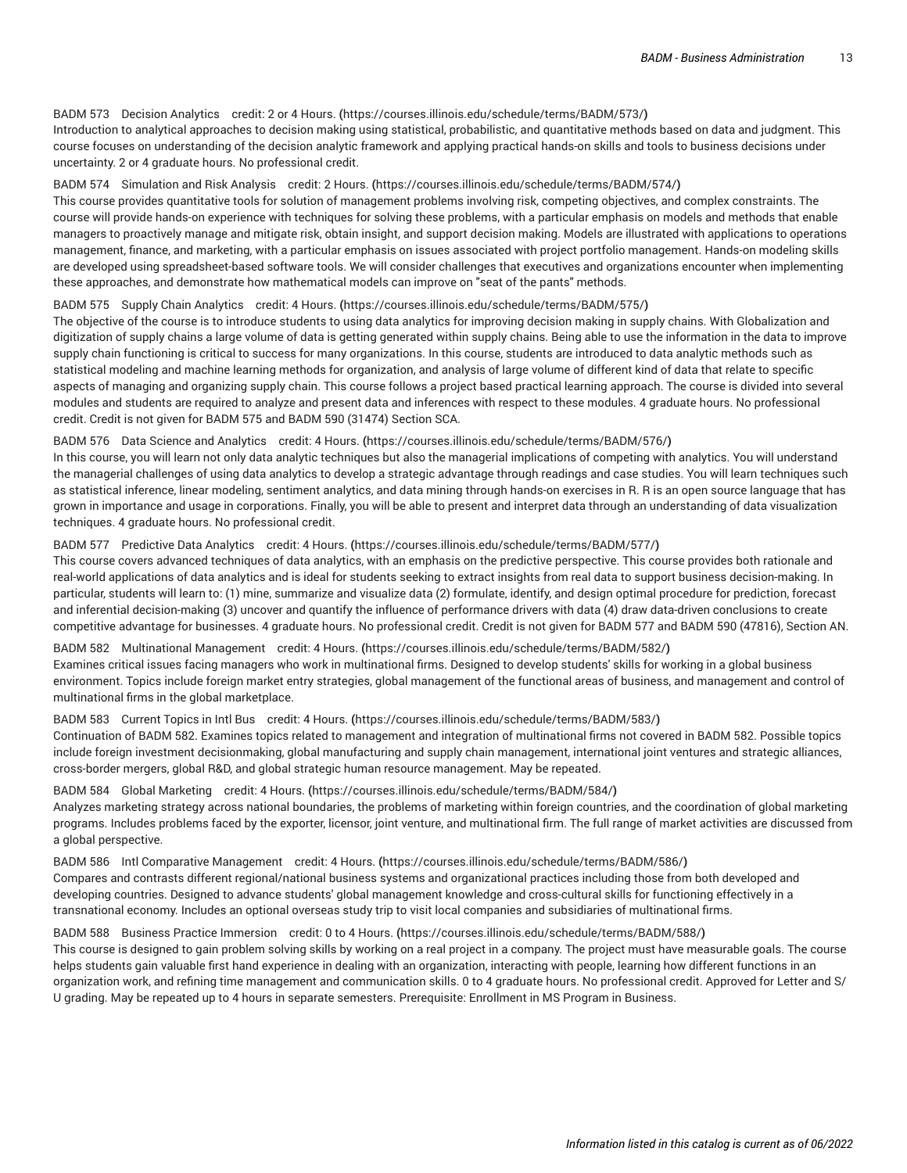# BADM 573 Decision [Analytics](https://courses.illinois.edu/schedule/terms/BADM/573/) credit: 2 or 4 Hours. **(**<https://courses.illinois.edu/schedule/terms/BADM/573/>**)**

Introduction to analytical approaches to decision making using statistical, probabilistic, and quantitative methods based on data and judgment. This course focuses on understanding of the decision analytic framework and applying practical hands-on skills and tools to business decisions under uncertainty. 2 or 4 graduate hours. No professional credit.

#### BADM 574 [Simulation](https://courses.illinois.edu/schedule/terms/BADM/574/) and Risk Analysis credit: 2 Hours. **(**<https://courses.illinois.edu/schedule/terms/BADM/574/>**)**

This course provides quantitative tools for solution of management problems involving risk, competing objectives, and complex constraints. The course will provide hands-on experience with techniques for solving these problems, with a particular emphasis on models and methods that enable managers to proactively manage and mitigate risk, obtain insight, and support decision making. Models are illustrated with applications to operations management, finance, and marketing, with a particular emphasis on issues associated with project portfolio management. Hands-on modeling skills are developed using spreadsheet-based software tools. We will consider challenges that executives and organizations encounter when implementing these approaches, and demonstrate how mathematical models can improve on "seat of the pants" methods.

#### BADM 575 Supply Chain [Analytics](https://courses.illinois.edu/schedule/terms/BADM/575/) credit: 4 Hours. **(**<https://courses.illinois.edu/schedule/terms/BADM/575/>**)**

The objective of the course is to introduce students to using data analytics for improving decision making in supply chains. With Globalization and digitization of supply chains a large volume of data is getting generated within supply chains. Being able to use the information in the data to improve supply chain functioning is critical to success for many organizations. In this course, students are introduced to data analytic methods such as statistical modeling and machine learning methods for organization, and analysis of large volume of different kind of data that relate to specific aspects of managing and organizing supply chain. This course follows a project based practical learning approach. The course is divided into several modules and students are required to analyze and present data and inferences with respect to these modules. 4 graduate hours. No professional credit. Credit is not given for [BADM 575](/search/?P=BADM%20575) and [BADM 590](/search/?P=BADM%20590) (31474) Section SCA.

#### BADM 576 Data Science and [Analytics](https://courses.illinois.edu/schedule/terms/BADM/576/) credit: 4 Hours. **(**<https://courses.illinois.edu/schedule/terms/BADM/576/>**)**

In this course, you will learn not only data analytic techniques but also the managerial implications of competing with analytics. You will understand the managerial challenges of using data analytics to develop a strategic advantage through readings and case studies. You will learn techniques such as statistical inference, linear modeling, sentiment analytics, and data mining through hands-on exercises in R. R is an open source language that has grown in importance and usage in corporations. Finally, you will be able to present and interpret data through an understanding of data visualization techniques. 4 graduate hours. No professional credit.

# BADM 577 [Predictive](https://courses.illinois.edu/schedule/terms/BADM/577/) Data Analytics credit: 4 Hours. **(**<https://courses.illinois.edu/schedule/terms/BADM/577/>**)**

This course covers advanced techniques of data analytics, with an emphasis on the predictive perspective. This course provides both rationale and real-world applications of data analytics and is ideal for students seeking to extract insights from real data to support business decision-making. In particular, students will learn to: (1) mine, summarize and visualize data (2) formulate, identify, and design optimal procedure for prediction, forecast and inferential decision-making (3) uncover and quantify the influence of performance drivers with data (4) draw data-driven conclusions to create competitive advantage for businesses. 4 graduate hours. No professional credit. Credit is not given for [BADM 577](/search/?P=BADM%20577) and [BADM 590](/search/?P=BADM%20590) (47816), Section AN.

# BADM 582 Multinational [Management](https://courses.illinois.edu/schedule/terms/BADM/582/) credit: 4 Hours. **(**<https://courses.illinois.edu/schedule/terms/BADM/582/>**)** Examines critical issues facing managers who work in multinational firms. Designed to develop students' skills for working in a global business environment. Topics include foreign market entry strategies, global management of the functional areas of business, and management and control of multinational firms in the global marketplace.

#### BADM 583 [Current](https://courses.illinois.edu/schedule/terms/BADM/583/) Topics in Intl Bus credit: 4 Hours. **(**<https://courses.illinois.edu/schedule/terms/BADM/583/>**)**

Continuation of [BADM 582.](/search/?P=BADM%20582) Examines topics related to management and integration of multinational firms not covered in [BADM 582](/search/?P=BADM%20582). Possible topics include foreign investment decisionmaking, global manufacturing and supply chain management, international joint ventures and strategic alliances, cross-border mergers, global R&D, and global strategic human resource management. May be repeated.

# BADM 584 Global [Marketing](https://courses.illinois.edu/schedule/terms/BADM/584/) credit: 4 Hours. **(**<https://courses.illinois.edu/schedule/terms/BADM/584/>**)**

Analyzes marketing strategy across national boundaries, the problems of marketing within foreign countries, and the coordination of global marketing programs. Includes problems faced by the exporter, licensor, joint venture, and multinational firm. The full range of market activities are discussed from a global perspective.

BADM 586 Intl Comparative [Management](https://courses.illinois.edu/schedule/terms/BADM/586/) credit: 4 Hours. **(**<https://courses.illinois.edu/schedule/terms/BADM/586/>**)** Compares and contrasts different regional/national business systems and organizational practices including those from both developed and developing countries. Designed to advance students' global management knowledge and cross-cultural skills for functioning effectively in a transnational economy. Includes an optional overseas study trip to visit local companies and subsidiaries of multinational firms.

# BADM 588 Business Practice [Immersion](https://courses.illinois.edu/schedule/terms/BADM/588/) credit: 0 to 4 Hours. **(**<https://courses.illinois.edu/schedule/terms/BADM/588/>**)**

This course is designed to gain problem solving skills by working on a real project in a company. The project must have measurable goals. The course helps students gain valuable first hand experience in dealing with an organization, interacting with people, learning how different functions in an organization work, and refining time management and communication skills. 0 to 4 graduate hours. No professional credit. Approved for Letter and S/ U grading. May be repeated up to 4 hours in separate semesters. Prerequisite: Enrollment in MS Program in Business.